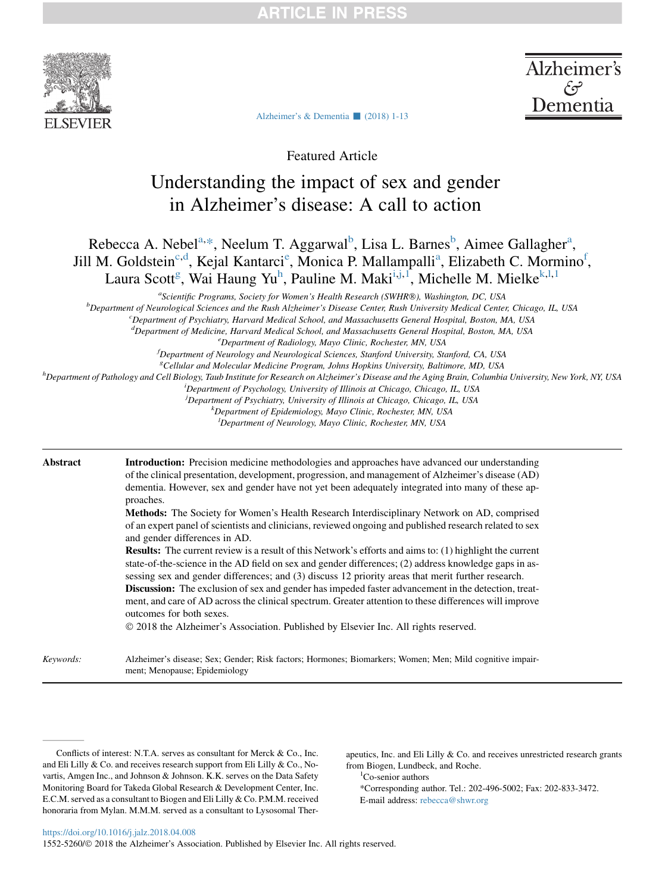



[Alzheimer's & Dementia](https://doi.org/10.1016/j.jalz.2018.04.008)  $\Box$  (2018) 1-13

Featured Article

# Understanding the impact of sex and gender in Alzheimer's disease: A call to action

Rebecca A. Nebel<sup>a,\*</sup>, Neelum T. Aggarwal<sup>b</sup>, Lisa L. Barnes<sup>b</sup>, Aimee Gallagher<sup>a</sup>,

Jill M. Goldstein<sup>c,d</sup>, Kejal Kantarci<sup>e</sup>, Monica P. Mallampalli<sup>a</sup>, Elizabeth C. Mormino<sup>f</sup>,

Laura Scott<sup>g</sup>, Wai Haung Yu<sup>h</sup>, Pauline M. Maki<sup>i,j,1</sup>, Michelle M. Mielke<sup>k,1,1</sup>

<sup>a</sup>Scientific Programs, Society for Women's Health Research (SWHR®), Washington, DC, USA<br><sup>b</sup>Dapartment of Neurological Sciences and the Push Alpheimar's Disease Center Push University Medical Center

<sup>b</sup>Department of Neurological Sciences and the Rush Alzheimer's Disease Center, Rush University Medical Center, Chicago, IL, USA

c Department of Psychiatry, Harvard Medical School, and Massachusetts General Hospital, Boston, MA, USA

<sup>d</sup>Department of Medicine, Harvard Medical School, and Massachusetts General Hospital, Boston, MA, USA<br>EDepartment of Padiology Mayo Clinic, Bochaster, MN, USA

Department of Radiology, Mayo Clinic, Rochester, MN, USA

<sup>f</sup>Department of Neurology and Neurological Sciences, Stanford University, Stanford, CA, USA

<sup>8</sup>Cellular and Molecular Medicine Program, Johns Hopkins University, Baltimore, MD, USA Cellular and Molecular Medicine Program, Johns Hopkins University, Baltimore, MD, USA هو "Cellular and Molecular Medicine Program, Johns Hopkins University, Baltimore, MD, USA<br>hDapartment of Pathology and Cell Biology. Tau

Department of Pathology and Cell Biology, Taub Institute for Research on Alzheimer's Disease and the Aging Brain, Columbia University, New York, NY, USA<br>Department of Peychology, University of Illinois at Chicago, Chicago,

Department of Psychology, University of Illinois at Chicago, Chicago, IL, USA

<sup>j</sup> Department of Psychiatry, University of Illinois at Chicago, Chicago, IL, USA

k Department of Epidemiology, Mayo Clinic, Rochester, MN, USA

<sup>1</sup>Department of Neurology, Mayo Clinic, Rochester, MN, USA

Abstract Introduction: Precision medicine methodologies and approaches have advanced our understanding of the clinical presentation, development, progression, and management of Alzheimer's disease (AD) dementia. However, sex and gender have not yet been adequately integrated into many of these approaches.

> Methods: The Society for Women's Health Research Interdisciplinary Network on AD, comprised of an expert panel of scientists and clinicians, reviewed ongoing and published research related to sex and gender differences in AD.

> Results: The current review is a result of this Network's efforts and aims to: (1) highlight the current state-of-the-science in the AD field on sex and gender differences; (2) address knowledge gaps in assessing sex and gender differences; and (3) discuss 12 priority areas that merit further research. Discussion: The exclusion of sex and gender has impeded faster advancement in the detection, treatment, and care of AD across the clinical spectrum. Greater attention to these differences will improve outcomes for both sexes.

2018 the Alzheimer's Association. Published by Elsevier Inc. All rights reserved.

Keywords: Alzheimer's disease; Sex; Gender; Risk factors; Hormones; Biomarkers; Women; Men; Mild cognitive impairment; Menopause; Epidemiology

Conflicts of interest: N.T.A. serves as consultant for Merck & Co., Inc. and Eli Lilly & Co. and receives research support from Eli Lilly & Co., Novartis, Amgen Inc., and Johnson & Johnson. K.K. serves on the Data Safety Monitoring Board for Takeda Global Research & Development Center, Inc. E.C.M. served as a consultant to Biogen and Eli Lilly & Co. P.M.M. received honoraria from Mylan. M.M.M. served as a consultant to Lysosomal Ther-

apeutics, Inc. and Eli Lilly & Co. and receives unrestricted research grants from Biogen, Lundbeck, and Roche.

<sup>1</sup>Co-senior authors

\*Corresponding author. Tel.: 202-496-5002; Fax: 202-833-3472.

E-mail address: [rebecca@shwr.org](mailto:rebecca@shwr.org)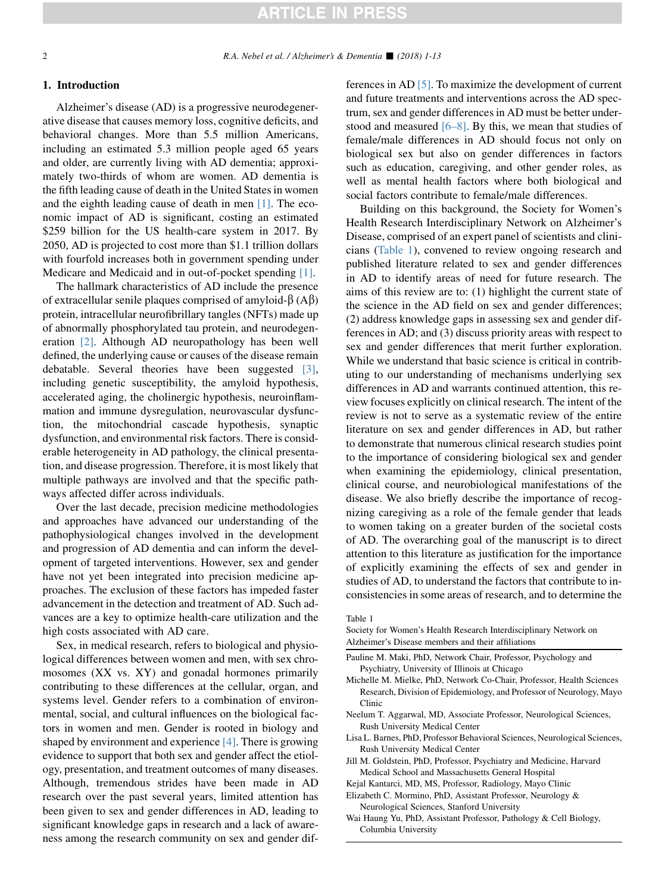### 1. Introduction

Alzheimer's disease (AD) is a progressive neurodegenerative disease that causes memory loss, cognitive deficits, and behavioral changes. More than 5.5 million Americans, including an estimated 5.3 million people aged 65 years and older, are currently living with AD dementia; approximately two-thirds of whom are women. AD dementia is the fifth leading cause of death in the United States in women and the eighth leading cause of death in men [\[1\].](#page-9-0) The economic impact of AD is significant, costing an estimated \$259 billion for the US health-care system in 2017. By 2050, AD is projected to cost more than \$1.1 trillion dollars with fourfold increases both in government spending under Medicare and Medicaid and in out-of-pocket spending [\[1\]](#page-9-0).

The hallmark characteristics of AD include the presence of extracellular senile plaques comprised of amyloid- $\beta$  (A $\beta$ ) protein, intracellular neurofibrillary tangles (NFTs) made up of abnormally phosphorylated tau protein, and neurodegeneration [\[2\]](#page-9-0). Although AD neuropathology has been well defined, the underlying cause or causes of the disease remain debatable. Several theories have been suggested [\[3\],](#page-9-0) including genetic susceptibility, the amyloid hypothesis, accelerated aging, the cholinergic hypothesis, neuroinflammation and immune dysregulation, neurovascular dysfunction, the mitochondrial cascade hypothesis, synaptic dysfunction, and environmental risk factors. There is considerable heterogeneity in AD pathology, the clinical presentation, and disease progression. Therefore, it is most likely that multiple pathways are involved and that the specific pathways affected differ across individuals.

Over the last decade, precision medicine methodologies and approaches have advanced our understanding of the pathophysiological changes involved in the development and progression of AD dementia and can inform the development of targeted interventions. However, sex and gender have not yet been integrated into precision medicine approaches. The exclusion of these factors has impeded faster advancement in the detection and treatment of AD. Such advances are a key to optimize health-care utilization and the high costs associated with AD care.

Sex, in medical research, refers to biological and physiological differences between women and men, with sex chromosomes (XX vs. XY) and gonadal hormones primarily contributing to these differences at the cellular, organ, and systems level. Gender refers to a combination of environmental, social, and cultural influences on the biological factors in women and men. Gender is rooted in biology and shaped by environment and experience [\[4\]](#page-9-0). There is growing evidence to support that both sex and gender affect the etiology, presentation, and treatment outcomes of many diseases. Although, tremendous strides have been made in AD research over the past several years, limited attention has been given to sex and gender differences in AD, leading to significant knowledge gaps in research and a lack of awareness among the research community on sex and gender differences in AD [\[5\]](#page-9-0). To maximize the development of current and future treatments and interventions across the AD spectrum, sex and gender differences in AD must be better understood and measured [\[6–8\]](#page-9-0). By this, we mean that studies of female/male differences in AD should focus not only on biological sex but also on gender differences in factors such as education, caregiving, and other gender roles, as well as mental health factors where both biological and social factors contribute to female/male differences.

Building on this background, the Society for Women's Health Research Interdisciplinary Network on Alzheimer's Disease, comprised of an expert panel of scientists and clinicians (Table 1), convened to review ongoing research and published literature related to sex and gender differences in AD to identify areas of need for future research. The aims of this review are to: (1) highlight the current state of the science in the AD field on sex and gender differences; (2) address knowledge gaps in assessing sex and gender differences in AD; and (3) discuss priority areas with respect to sex and gender differences that merit further exploration. While we understand that basic science is critical in contributing to our understanding of mechanisms underlying sex differences in AD and warrants continued attention, this review focuses explicitly on clinical research. The intent of the review is not to serve as a systematic review of the entire literature on sex and gender differences in AD, but rather to demonstrate that numerous clinical research studies point to the importance of considering biological sex and gender when examining the epidemiology, clinical presentation, clinical course, and neurobiological manifestations of the disease. We also briefly describe the importance of recognizing caregiving as a role of the female gender that leads to women taking on a greater burden of the societal costs of AD. The overarching goal of the manuscript is to direct attention to this literature as justification for the importance of explicitly examining the effects of sex and gender in studies of AD, to understand the factors that contribute to inconsistencies in some areas of research, and to determine the

#### Table 1

Society for Women's Health Research Interdisciplinary Network on Alzheimer's Disease members and their affiliations

- Pauline M. Maki, PhD, Network Chair, Professor, Psychology and Psychiatry, University of Illinois at Chicago
- Michelle M. Mielke, PhD, Network Co-Chair, Professor, Health Sciences Research, Division of Epidemiology, and Professor of Neurology, Mayo Clinic
- Neelum T. Aggarwal, MD, Associate Professor, Neurological Sciences, Rush University Medical Center
- Lisa L. Barnes, PhD, Professor Behavioral Sciences, Neurological Sciences, Rush University Medical Center
- Jill M. Goldstein, PhD, Professor, Psychiatry and Medicine, Harvard Medical School and Massachusetts General Hospital
- Kejal Kantarci, MD, MS, Professor, Radiology, Mayo Clinic
- Elizabeth C. Mormino, PhD, Assistant Professor, Neurology & Neurological Sciences, Stanford University
- Wai Haung Yu, PhD, Assistant Professor, Pathology & Cell Biology, Columbia University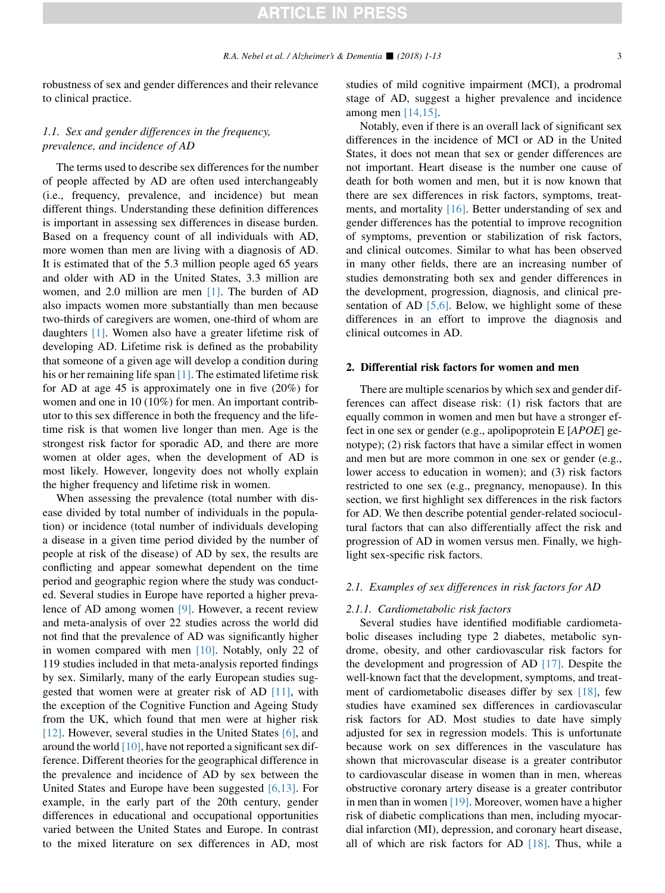robustness of sex and gender differences and their relevance to clinical practice.

### 1.1. Sex and gender differences in the frequency, prevalence, and incidence of AD

The terms used to describe sex differences for the number of people affected by AD are often used interchangeably (i.e., frequency, prevalence, and incidence) but mean different things. Understanding these definition differences is important in assessing sex differences in disease burden. Based on a frequency count of all individuals with AD, more women than men are living with a diagnosis of AD. It is estimated that of the 5.3 million people aged 65 years and older with AD in the United States, 3.3 million are women, and 2.0 million are men [\[1\].](#page-9-0) The burden of AD also impacts women more substantially than men because two-thirds of caregivers are women, one-third of whom are daughters [\[1\]](#page-9-0). Women also have a greater lifetime risk of developing AD. Lifetime risk is defined as the probability that someone of a given age will develop a condition during his or her remaining life span [\[1\]](#page-9-0). The estimated lifetime risk for AD at age 45 is approximately one in five (20%) for women and one in 10 (10%) for men. An important contributor to this sex difference in both the frequency and the lifetime risk is that women live longer than men. Age is the strongest risk factor for sporadic AD, and there are more women at older ages, when the development of AD is most likely. However, longevity does not wholly explain the higher frequency and lifetime risk in women.

When assessing the prevalence (total number with disease divided by total number of individuals in the population) or incidence (total number of individuals developing a disease in a given time period divided by the number of people at risk of the disease) of AD by sex, the results are conflicting and appear somewhat dependent on the time period and geographic region where the study was conducted. Several studies in Europe have reported a higher prevalence of AD among women [\[9\].](#page-9-0) However, a recent review and meta-analysis of over 22 studies across the world did not find that the prevalence of AD was significantly higher in women compared with men [\[10\]](#page-9-0). Notably, only 22 of 119 studies included in that meta-analysis reported findings by sex. Similarly, many of the early European studies suggested that women were at greater risk of AD [\[11\],](#page-9-0) with the exception of the Cognitive Function and Ageing Study from the UK, which found that men were at higher risk [\[12\].](#page-9-0) However, several studies in the United States [\[6\]](#page-9-0), and around the world  $[10]$ , have not reported a significant sex difference. Different theories for the geographical difference in the prevalence and incidence of AD by sex between the United States and Europe have been suggested [\[6,13\]](#page-9-0). For example, in the early part of the 20th century, gender differences in educational and occupational opportunities varied between the United States and Europe. In contrast to the mixed literature on sex differences in AD, most studies of mild cognitive impairment (MCI), a prodromal stage of AD, suggest a higher prevalence and incidence among men [\[14,15\]](#page-9-0).

Notably, even if there is an overall lack of significant sex differences in the incidence of MCI or AD in the United States, it does not mean that sex or gender differences are not important. Heart disease is the number one cause of death for both women and men, but it is now known that there are sex differences in risk factors, symptoms, treatments, and mortality [\[16\].](#page-9-0) Better understanding of sex and gender differences has the potential to improve recognition of symptoms, prevention or stabilization of risk factors, and clinical outcomes. Similar to what has been observed in many other fields, there are an increasing number of studies demonstrating both sex and gender differences in the development, progression, diagnosis, and clinical presentation of AD [\[5,6\].](#page-9-0) Below, we highlight some of these differences in an effort to improve the diagnosis and clinical outcomes in AD.

### 2. Differential risk factors for women and men

There are multiple scenarios by which sex and gender differences can affect disease risk: (1) risk factors that are equally common in women and men but have a stronger effect in one sex or gender (e.g., apolipoprotein E [APOE] genotype); (2) risk factors that have a similar effect in women and men but are more common in one sex or gender (e.g., lower access to education in women); and (3) risk factors restricted to one sex (e.g., pregnancy, menopause). In this section, we first highlight sex differences in the risk factors for AD. We then describe potential gender-related sociocultural factors that can also differentially affect the risk and progression of AD in women versus men. Finally, we highlight sex-specific risk factors.

### 2.1. Examples of sex differences in risk factors for AD

#### 2.1.1. Cardiometabolic risk factors

Several studies have identified modifiable cardiometabolic diseases including type 2 diabetes, metabolic syndrome, obesity, and other cardiovascular risk factors for the development and progression of AD [\[17\]](#page-9-0). Despite the well-known fact that the development, symptoms, and treatment of cardiometabolic diseases differ by sex [\[18\]](#page-9-0), few studies have examined sex differences in cardiovascular risk factors for AD. Most studies to date have simply adjusted for sex in regression models. This is unfortunate because work on sex differences in the vasculature has shown that microvascular disease is a greater contributor to cardiovascular disease in women than in men, whereas obstructive coronary artery disease is a greater contributor in men than in women [\[19\].](#page-9-0) Moreover, women have a higher risk of diabetic complications than men, including myocardial infarction (MI), depression, and coronary heart disease, all of which are risk factors for AD [\[18\]](#page-9-0). Thus, while a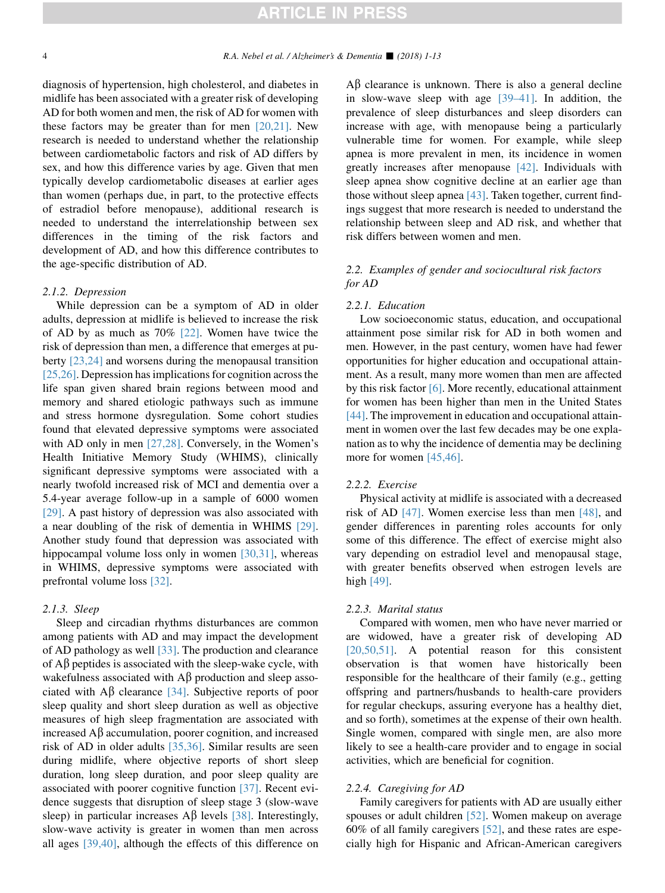diagnosis of hypertension, high cholesterol, and diabetes in midlife has been associated with a greater risk of developing AD for both women and men, the risk of AD for women with these factors may be greater than for men  $[20,21]$ . New research is needed to understand whether the relationship between cardiometabolic factors and risk of AD differs by sex, and how this difference varies by age. Given that men typically develop cardiometabolic diseases at earlier ages than women (perhaps due, in part, to the protective effects of estradiol before menopause), additional research is needed to understand the interrelationship between sex differences in the timing of the risk factors and development of AD, and how this difference contributes to the age-specific distribution of AD.

#### 2.1.2. Depression

While depression can be a symptom of AD in older adults, depression at midlife is believed to increase the risk of AD by as much as 70% [\[22\].](#page-9-0) Women have twice the risk of depression than men, a difference that emerges at puberty [\[23,24\]](#page-9-0) and worsens during the menopausal transition [\[25,26\]](#page-9-0). Depression has implications for cognition across the life span given shared brain regions between mood and memory and shared etiologic pathways such as immune and stress hormone dysregulation. Some cohort studies found that elevated depressive symptoms were associated with AD only in men [\[27,28\]](#page-9-0). Conversely, in the Women's Health Initiative Memory Study (WHIMS), clinically significant depressive symptoms were associated with a nearly twofold increased risk of MCI and dementia over a 5.4-year average follow-up in a sample of 6000 women [\[29\].](#page-9-0) A past history of depression was also associated with a near doubling of the risk of dementia in WHIMS [\[29\].](#page-9-0) Another study found that depression was associated with hippocampal volume loss only in women [\[30,31\],](#page-9-0) whereas in WHIMS, depressive symptoms were associated with prefrontal volume loss [\[32\].](#page-9-0)

#### 2.1.3. Sleep

Sleep and circadian rhythms disturbances are common among patients with AD and may impact the development of AD pathology as well [\[33\]](#page-9-0). The production and clearance of  $A\beta$  peptides is associated with the sleep-wake cycle, with wakefulness associated with  $\mathsf{A}\beta$  production and sleep associated with  $\mathbf{A}\beta$  clearance [\[34\].](#page-9-0) Subjective reports of poor sleep quality and short sleep duration as well as objective measures of high sleep fragmentation are associated with increased  $\overrightarrow{AB}$  accumulation, poorer cognition, and increased risk of AD in older adults [\[35,36\]](#page-9-0). Similar results are seen during midlife, where objective reports of short sleep duration, long sleep duration, and poor sleep quality are associated with poorer cognitive function [\[37\]](#page-9-0). Recent evidence suggests that disruption of sleep stage 3 (slow-wave sleep) in particular increases  $\mathsf{A}\beta$  levels [\[38\]](#page-9-0). Interestingly, slow-wave activity is greater in women than men across all ages [\[39,40\]](#page-10-0), although the effects of this difference on

 $\Delta\beta$  clearance is unknown. There is also a general decline in slow-wave sleep with age [\[39–41\]](#page-10-0). In addition, the prevalence of sleep disturbances and sleep disorders can increase with age, with menopause being a particularly vulnerable time for women. For example, while sleep apnea is more prevalent in men, its incidence in women greatly increases after menopause [\[42\]](#page-10-0). Individuals with sleep apnea show cognitive decline at an earlier age than those without sleep apnea [\[43\].](#page-10-0) Taken together, current findings suggest that more research is needed to understand the relationship between sleep and AD risk, and whether that risk differs between women and men.

### 2.2. Examples of gender and sociocultural risk factors for AD

#### 2.2.1. Education

Low socioeconomic status, education, and occupational attainment pose similar risk for AD in both women and men. However, in the past century, women have had fewer opportunities for higher education and occupational attainment. As a result, many more women than men are affected by this risk factor [\[6\]](#page-9-0). More recently, educational attainment for women has been higher than men in the United States [\[44\].](#page-10-0) The improvement in education and occupational attainment in women over the last few decades may be one explanation as to why the incidence of dementia may be declining more for women [\[45,46\]](#page-10-0).

### 2.2.2. Exercise

Physical activity at midlife is associated with a decreased risk of AD [\[47\].](#page-10-0) Women exercise less than men [\[48\],](#page-10-0) and gender differences in parenting roles accounts for only some of this difference. The effect of exercise might also vary depending on estradiol level and menopausal stage, with greater benefits observed when estrogen levels are high [\[49\]](#page-10-0).

#### 2.2.3. Marital status

Compared with women, men who have never married or are widowed, have a greater risk of developing AD [\[20,50,51\].](#page-9-0) A potential reason for this consistent observation is that women have historically been responsible for the healthcare of their family (e.g., getting offspring and partners/husbands to health-care providers for regular checkups, assuring everyone has a healthy diet, and so forth), sometimes at the expense of their own health. Single women, compared with single men, are also more likely to see a health-care provider and to engage in social activities, which are beneficial for cognition.

### 2.2.4. Caregiving for AD

Family caregivers for patients with AD are usually either spouses or adult children [\[52\].](#page-10-0) Women makeup on average 60% of all family caregivers [\[52\],](#page-10-0) and these rates are especially high for Hispanic and African-American caregivers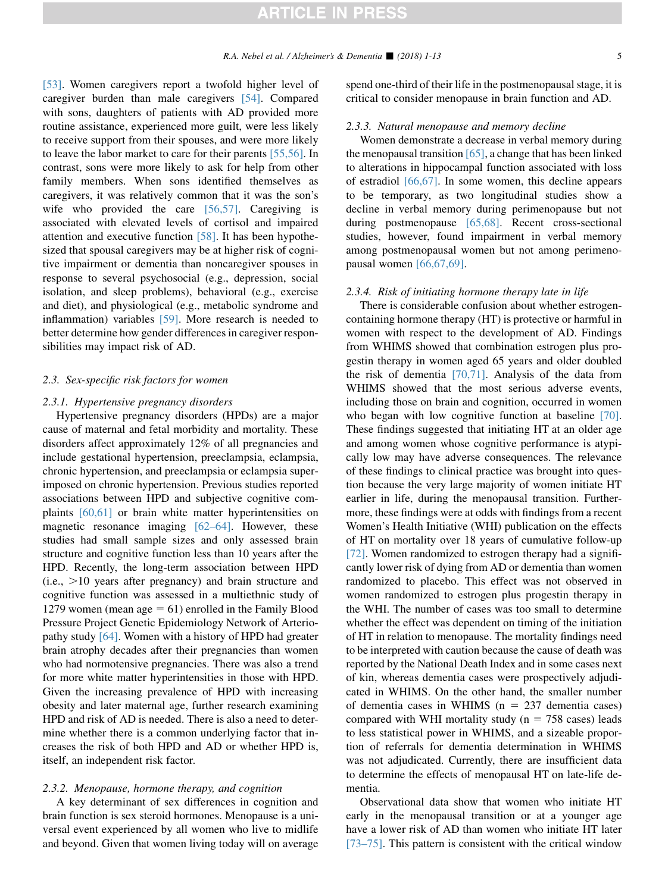[\[53\].](#page-10-0) Women caregivers report a twofold higher level of caregiver burden than male caregivers [\[54\].](#page-10-0) Compared with sons, daughters of patients with AD provided more routine assistance, experienced more guilt, were less likely to receive support from their spouses, and were more likely to leave the labor market to care for their parents [\[55,56\].](#page-10-0) In contrast, sons were more likely to ask for help from other family members. When sons identified themselves as caregivers, it was relatively common that it was the son's wife who provided the care [\[56,57\]](#page-10-0). Caregiving is associated with elevated levels of cortisol and impaired attention and executive function [\[58\]](#page-10-0). It has been hypothesized that spousal caregivers may be at higher risk of cognitive impairment or dementia than noncaregiver spouses in response to several psychosocial (e.g., depression, social isolation, and sleep problems), behavioral (e.g., exercise and diet), and physiological (e.g., metabolic syndrome and inflammation) variables [\[59\].](#page-10-0) More research is needed to better determine how gender differences in caregiver responsibilities may impact risk of AD.

#### 2.3. Sex-specific risk factors for women

#### 2.3.1. Hypertensive pregnancy disorders

Hypertensive pregnancy disorders (HPDs) are a major cause of maternal and fetal morbidity and mortality. These disorders affect approximately 12% of all pregnancies and include gestational hypertension, preeclampsia, eclampsia, chronic hypertension, and preeclampsia or eclampsia superimposed on chronic hypertension. Previous studies reported associations between HPD and subjective cognitive complaints [\[60,61\]](#page-10-0) or brain white matter hyperintensities on magnetic resonance imaging [\[62–64\]](#page-10-0). However, these studies had small sample sizes and only assessed brain structure and cognitive function less than 10 years after the HPD. Recently, the long-term association between HPD  $(i.e., >10$  years after pregnancy) and brain structure and cognitive function was assessed in a multiethnic study of 1279 women (mean age  $= 61$ ) enrolled in the Family Blood Pressure Project Genetic Epidemiology Network of Arteriopathy study [\[64\]](#page-10-0). Women with a history of HPD had greater brain atrophy decades after their pregnancies than women who had normotensive pregnancies. There was also a trend for more white matter hyperintensities in those with HPD. Given the increasing prevalence of HPD with increasing obesity and later maternal age, further research examining HPD and risk of AD is needed. There is also a need to determine whether there is a common underlying factor that increases the risk of both HPD and AD or whether HPD is, itself, an independent risk factor.

#### 2.3.2. Menopause, hormone therapy, and cognition

A key determinant of sex differences in cognition and brain function is sex steroid hormones. Menopause is a universal event experienced by all women who live to midlife and beyond. Given that women living today will on average spend one-third of their life in the postmenopausal stage, it is critical to consider menopause in brain function and AD.

#### 2.3.3. Natural menopause and memory decline

Women demonstrate a decrease in verbal memory during the menopausal transition [\[65\]](#page-10-0), a change that has been linked to alterations in hippocampal function associated with loss of estradiol [\[66,67\]](#page-10-0). In some women, this decline appears to be temporary, as two longitudinal studies show a decline in verbal memory during perimenopause but not during postmenopause [\[65,68\]](#page-10-0). Recent cross-sectional studies, however, found impairment in verbal memory among postmenopausal women but not among perimenopausal women [\[66,67,69\]](#page-10-0).

#### 2.3.4. Risk of initiating hormone therapy late in life

There is considerable confusion about whether estrogencontaining hormone therapy (HT) is protective or harmful in women with respect to the development of AD. Findings from WHIMS showed that combination estrogen plus progestin therapy in women aged 65 years and older doubled the risk of dementia [\[70,71\].](#page-10-0) Analysis of the data from WHIMS showed that the most serious adverse events, including those on brain and cognition, occurred in women who began with low cognitive function at baseline [\[70\].](#page-10-0) These findings suggested that initiating HT at an older age and among women whose cognitive performance is atypically low may have adverse consequences. The relevance of these findings to clinical practice was brought into question because the very large majority of women initiate HT earlier in life, during the menopausal transition. Furthermore, these findings were at odds with findings from a recent Women's Health Initiative (WHI) publication on the effects of HT on mortality over 18 years of cumulative follow-up [\[72\].](#page-10-0) Women randomized to estrogen therapy had a significantly lower risk of dying from AD or dementia than women randomized to placebo. This effect was not observed in women randomized to estrogen plus progestin therapy in the WHI. The number of cases was too small to determine whether the effect was dependent on timing of the initiation of HT in relation to menopause. The mortality findings need to be interpreted with caution because the cause of death was reported by the National Death Index and in some cases next of kin, whereas dementia cases were prospectively adjudicated in WHIMS. On the other hand, the smaller number of dementia cases in WHIMS ( $n = 237$  dementia cases) compared with WHI mortality study ( $n = 758$  cases) leads to less statistical power in WHIMS, and a sizeable proportion of referrals for dementia determination in WHIMS was not adjudicated. Currently, there are insufficient data to determine the effects of menopausal HT on late-life dementia.

Observational data show that women who initiate HT early in the menopausal transition or at a younger age have a lower risk of AD than women who initiate HT later [\[73–75\].](#page-10-0) This pattern is consistent with the critical window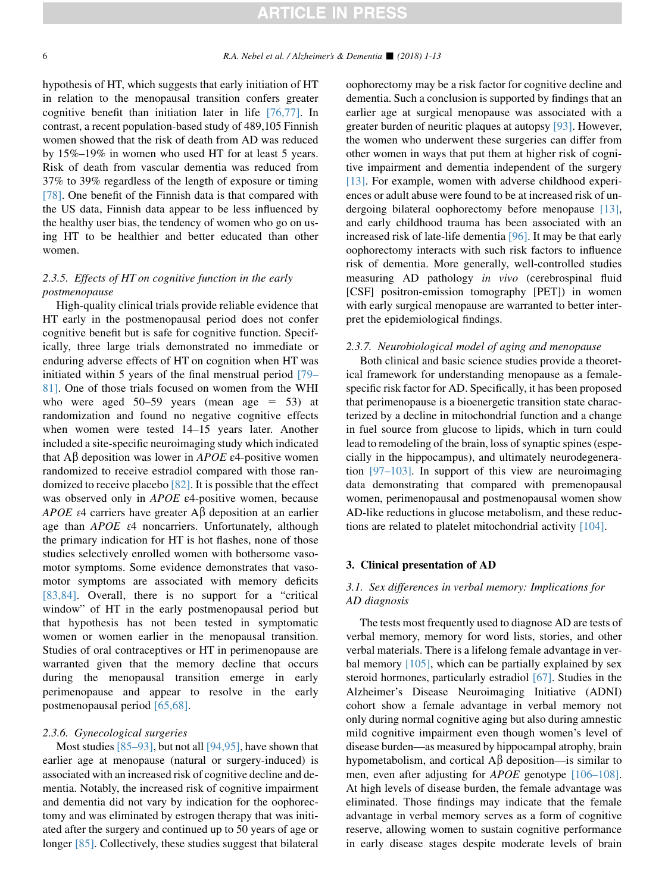hypothesis of HT, which suggests that early initiation of HT in relation to the menopausal transition confers greater cognitive benefit than initiation later in life [\[76,77\].](#page-10-0) In contrast, a recent population-based study of 489,105 Finnish women showed that the risk of death from AD was reduced by 15%–19% in women who used HT for at least 5 years. Risk of death from vascular dementia was reduced from 37% to 39% regardless of the length of exposure or timing [\[78\].](#page-11-0) One benefit of the Finnish data is that compared with the US data, Finnish data appear to be less influenced by the healthy user bias, the tendency of women who go on using HT to be healthier and better educated than other women.

## 2.3.5. Effects of HT on cognitive function in the early postmenopause

High-quality clinical trials provide reliable evidence that HT early in the postmenopausal period does not confer cognitive benefit but is safe for cognitive function. Specifically, three large trials demonstrated no immediate or enduring adverse effects of HT on cognition when HT was initiated within 5 years of the final menstrual period [\[79–](#page-11-0) [81\]](#page-11-0). One of those trials focused on women from the WHI who were aged  $50-59$  years (mean age = 53) at randomization and found no negative cognitive effects when women were tested 14–15 years later. Another included a site-specific neuroimaging study which indicated that  $\Lambda\beta$  deposition was lower in *APOE* ε4-positive women randomized to receive estradiol compared with those randomized to receive placebo  $[82]$ . It is possible that the effect was observed only in APOE ε4-positive women, because APOE  $\epsilon$ 4 carriers have greater A $\beta$  deposition at an earlier age than  $APOE$   $\varepsilon$ 4 noncarriers. Unfortunately, although the primary indication for HT is hot flashes, none of those studies selectively enrolled women with bothersome vasomotor symptoms. Some evidence demonstrates that vasomotor symptoms are associated with memory deficits [\[83,84\]](#page-11-0). Overall, there is no support for a "critical window" of HT in the early postmenopausal period but that hypothesis has not been tested in symptomatic women or women earlier in the menopausal transition. Studies of oral contraceptives or HT in perimenopause are warranted given that the memory decline that occurs during the menopausal transition emerge in early perimenopause and appear to resolve in the early postmenopausal period [\[65,68\]](#page-10-0).

#### 2.3.6. Gynecological surgeries

Most studies  $[85-93]$ , but not all  $[94, 95]$ , have shown that earlier age at menopause (natural or surgery-induced) is associated with an increased risk of cognitive decline and dementia. Notably, the increased risk of cognitive impairment and dementia did not vary by indication for the oophorectomy and was eliminated by estrogen therapy that was initiated after the surgery and continued up to 50 years of age or longer [\[85\].](#page-11-0) Collectively, these studies suggest that bilateral oophorectomy may be a risk factor for cognitive decline and dementia. Such a conclusion is supported by findings that an earlier age at surgical menopause was associated with a greater burden of neuritic plaques at autopsy [\[93\]](#page-11-0). However, the women who underwent these surgeries can differ from other women in ways that put them at higher risk of cognitive impairment and dementia independent of the surgery [\[13\].](#page-9-0) For example, women with adverse childhood experiences or adult abuse were found to be at increased risk of un-dergoing bilateral oophorectomy before menopause [\[13\],](#page-9-0) and early childhood trauma has been associated with an increased risk of late-life dementia [\[96\]](#page-11-0). It may be that early oophorectomy interacts with such risk factors to influence risk of dementia. More generally, well-controlled studies measuring AD pathology in vivo (cerebrospinal fluid [CSF] positron-emission tomography [PET]) in women with early surgical menopause are warranted to better interpret the epidemiological findings.

#### 2.3.7. Neurobiological model of aging and menopause

Both clinical and basic science studies provide a theoretical framework for understanding menopause as a femalespecific risk factor for AD. Specifically, it has been proposed that perimenopause is a bioenergetic transition state characterized by a decline in mitochondrial function and a change in fuel source from glucose to lipids, which in turn could lead to remodeling of the brain, loss of synaptic spines (especially in the hippocampus), and ultimately neurodegeneration [\[97–103\].](#page-11-0) In support of this view are neuroimaging data demonstrating that compared with premenopausal women, perimenopausal and postmenopausal women show AD-like reductions in glucose metabolism, and these reductions are related to platelet mitochondrial activity [\[104\].](#page-11-0)

### 3. Clinical presentation of AD

### 3.1. Sex differences in verbal memory: Implications for AD diagnosis

The tests most frequently used to diagnose AD are tests of verbal memory, memory for word lists, stories, and other verbal materials. There is a lifelong female advantage in verbal memory  $[105]$ , which can be partially explained by sex steroid hormones, particularly estradiol [\[67\]](#page-10-0). Studies in the Alzheimer's Disease Neuroimaging Initiative (ADNI) cohort show a female advantage in verbal memory not only during normal cognitive aging but also during amnestic mild cognitive impairment even though women's level of disease burden—as measured by hippocampal atrophy, brain hypometabolism, and cortical  $\overrightarrow{AB}$  deposition—is similar to men, even after adjusting for APOE genotype [\[106–108\].](#page-11-0) At high levels of disease burden, the female advantage was eliminated. Those findings may indicate that the female advantage in verbal memory serves as a form of cognitive reserve, allowing women to sustain cognitive performance in early disease stages despite moderate levels of brain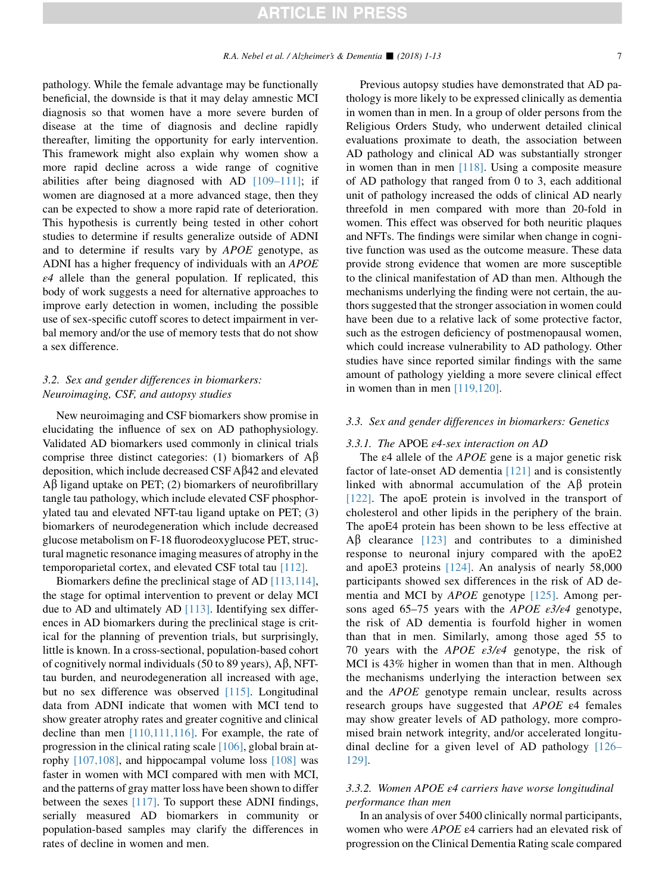pathology. While the female advantage may be functionally beneficial, the downside is that it may delay amnestic MCI diagnosis so that women have a more severe burden of disease at the time of diagnosis and decline rapidly thereafter, limiting the opportunity for early intervention. This framework might also explain why women show a more rapid decline across a wide range of cognitive abilities after being diagnosed with AD [\[109–111\];](#page-11-0) if women are diagnosed at a more advanced stage, then they can be expected to show a more rapid rate of deterioration. This hypothesis is currently being tested in other cohort studies to determine if results generalize outside of ADNI and to determine if results vary by APOE genotype, as ADNI has a higher frequency of individuals with an APOE  $\varepsilon$ 4 allele than the general population. If replicated, this body of work suggests a need for alternative approaches to improve early detection in women, including the possible use of sex-specific cutoff scores to detect impairment in verbal memory and/or the use of memory tests that do not show a sex difference.

### 3.2. Sex and gender differences in biomarkers: Neuroimaging, CSF, and autopsy studies

New neuroimaging and CSF biomarkers show promise in elucidating the influence of sex on AD pathophysiology. Validated AD biomarkers used commonly in clinical trials comprise three distinct categories: (1) biomarkers of  $A\beta$ deposition, which include decreased CSF A $\beta$ 42 and elevated  $\overrightarrow{AB}$  ligand uptake on PET; (2) biomarkers of neurofibrillary tangle tau pathology, which include elevated CSF phosphorylated tau and elevated NFT-tau ligand uptake on PET; (3) biomarkers of neurodegeneration which include decreased glucose metabolism on F-18 fluorodeoxyglucose PET, structural magnetic resonance imaging measures of atrophy in the temporoparietal cortex, and elevated CSF total tau [\[112\]](#page-11-0).

Biomarkers define the preclinical stage of AD [\[113,114\],](#page-11-0) the stage for optimal intervention to prevent or delay MCI due to AD and ultimately AD [\[113\].](#page-11-0) Identifying sex differences in AD biomarkers during the preclinical stage is critical for the planning of prevention trials, but surprisingly, little is known. In a cross-sectional, population-based cohort of cognitively normal individuals (50 to 89 years),  $\mathbf{A}\beta$ , NFTtau burden, and neurodegeneration all increased with age, but no sex difference was observed [\[115\].](#page-12-0) Longitudinal data from ADNI indicate that women with MCI tend to show greater atrophy rates and greater cognitive and clinical decline than men  $[110,111,116]$ . For example, the rate of progression in the clinical rating scale [\[106\],](#page-11-0) global brain atrophy [\[107,108\],](#page-11-0) and hippocampal volume loss [\[108\]](#page-11-0) was faster in women with MCI compared with men with MCI, and the patterns of gray matter loss have been shown to differ between the sexes [\[117\].](#page-12-0) To support these ADNI findings, serially measured AD biomarkers in community or population-based samples may clarify the differences in rates of decline in women and men.

Previous autopsy studies have demonstrated that AD pathology is more likely to be expressed clinically as dementia in women than in men. In a group of older persons from the Religious Orders Study, who underwent detailed clinical evaluations proximate to death, the association between AD pathology and clinical AD was substantially stronger in women than in men [\[118\]](#page-12-0). Using a composite measure of AD pathology that ranged from 0 to 3, each additional unit of pathology increased the odds of clinical AD nearly threefold in men compared with more than 20-fold in women. This effect was observed for both neuritic plaques and NFTs. The findings were similar when change in cognitive function was used as the outcome measure. These data provide strong evidence that women are more susceptible to the clinical manifestation of AD than men. Although the mechanisms underlying the finding were not certain, the authors suggested that the stronger association in women could have been due to a relative lack of some protective factor, such as the estrogen deficiency of postmenopausal women, which could increase vulnerability to AD pathology. Other studies have since reported similar findings with the same amount of pathology yielding a more severe clinical effect in women than in men [\[119,120\].](#page-12-0)

### 3.3. Sex and gender differences in biomarkers: Genetics

#### 3.3.1. The APOE ε4-sex interaction on AD

The ε4 allele of the APOE gene is a major genetic risk factor of late-onset AD dementia [\[121\]](#page-12-0) and is consistently linked with abnormal accumulation of the  $\mathbf{A}\mathbf{\beta}$  protein [\[122\]](#page-12-0). The apoE protein is involved in the transport of cholesterol and other lipids in the periphery of the brain. The apoE4 protein has been shown to be less effective at  $\text{A}\beta$  clearance [\[123\]](#page-12-0) and contributes to a diminished response to neuronal injury compared with the apoE2 and apoE3 proteins [\[124\]](#page-12-0). An analysis of nearly 58,000 participants showed sex differences in the risk of AD dementia and MCI by APOE genotype [\[125\].](#page-12-0) Among persons aged 65–75 years with the APOE  $\varepsilon$ 3/ $\varepsilon$ 4 genotype, the risk of AD dementia is fourfold higher in women than that in men. Similarly, among those aged 55 to 70 years with the  $APOE$   $\varepsilon$ 3/ $\varepsilon$ 4 genotype, the risk of MCI is 43% higher in women than that in men. Although the mechanisms underlying the interaction between sex and the APOE genotype remain unclear, results across research groups have suggested that APOE ε4 females may show greater levels of AD pathology, more compromised brain network integrity, and/or accelerated longitudinal decline for a given level of AD pathology [\[126–](#page-12-0) [129\].](#page-12-0)

### 3.3.2. Women APOE ε4 carriers have worse longitudinal performance than men

In an analysis of over 5400 clinically normal participants, women who were APOE ε4 carriers had an elevated risk of progression on the Clinical Dementia Rating scale compared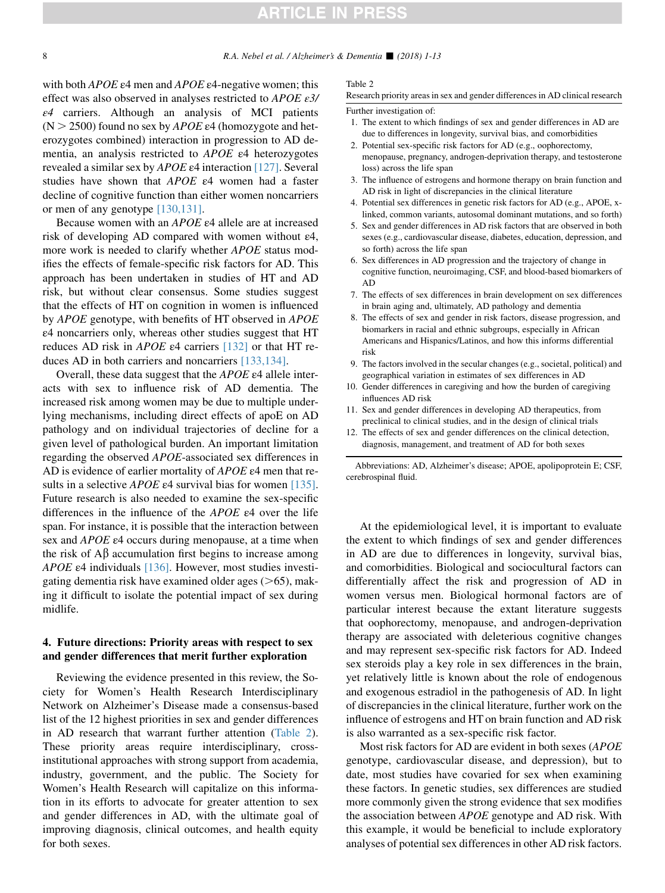with both  $APOE$  ε4 men and  $APOE$  ε4-negative women; this effect was also observed in analyses restricted to  $APOE$   $\varepsilon$ 3/  $\varepsilon$ 4 carriers. Although an analysis of MCI patients  $(N > 2500)$  found no sex by *APOE*  $\varepsilon$ 4 (homozygote and heterozygotes combined) interaction in progression to AD dementia, an analysis restricted to APOE ε4 heterozygotes revealed a similar sex by APOE ε4 interaction [\[127\].](#page-12-0) Several studies have shown that  $APOE$  ε4 women had a faster decline of cognitive function than either women noncarriers or men of any genotype [\[130,131\].](#page-12-0)

Because women with an  $APOE$   $\varepsilon$ 4 allele are at increased risk of developing AD compared with women without ε4, more work is needed to clarify whether APOE status modifies the effects of female-specific risk factors for AD. This approach has been undertaken in studies of HT and AD risk, but without clear consensus. Some studies suggest that the effects of HT on cognition in women is influenced by APOE genotype, with benefits of HT observed in APOE ε4 noncarriers only, whereas other studies suggest that HT reduces AD risk in APOE ε4 carriers [\[132\]](#page-12-0) or that HT reduces AD in both carriers and noncarriers [\[133,134\].](#page-12-0)

Overall, these data suggest that the  $APOE \epsilon 4$  allele interacts with sex to influence risk of AD dementia. The increased risk among women may be due to multiple underlying mechanisms, including direct effects of apoE on AD pathology and on individual trajectories of decline for a given level of pathological burden. An important limitation regarding the observed APOE-associated sex differences in AD is evidence of earlier mortality of  $APOE$   $\varepsilon$ 4 men that results in a selective *APOE*  $\varepsilon$ 4 survival bias for women [\[135\].](#page-12-0) Future research is also needed to examine the sex-specific differences in the influence of the APOE ε4 over the life span. For instance, it is possible that the interaction between sex and APOE ε4 occurs during menopause, at a time when the risk of  $A\beta$  accumulation first begins to increase among APOE  $\varepsilon$ 4 individuals [\[136\].](#page-12-0) However, most studies investigating dementia risk have examined older ages  $($ >65), making it difficult to isolate the potential impact of sex during midlife.

### 4. Future directions: Priority areas with respect to sex and gender differences that merit further exploration

Reviewing the evidence presented in this review, the Society for Women's Health Research Interdisciplinary Network on Alzheimer's Disease made a consensus-based list of the 12 highest priorities in sex and gender differences in AD research that warrant further attention (Table 2). These priority areas require interdisciplinary, crossinstitutional approaches with strong support from academia, industry, government, and the public. The Society for Women's Health Research will capitalize on this information in its efforts to advocate for greater attention to sex and gender differences in AD, with the ultimate goal of improving diagnosis, clinical outcomes, and health equity for both sexes.

#### Table 2

Research priority areas in sex and gender differences in AD clinical research Further investigation of:

- 1. The extent to which findings of sex and gender differences in AD are due to differences in longevity, survival bias, and comorbidities
- 2. Potential sex-specific risk factors for AD (e.g., oophorectomy, menopause, pregnancy, androgen-deprivation therapy, and testosterone loss) across the life span
- 3. The influence of estrogens and hormone therapy on brain function and AD risk in light of discrepancies in the clinical literature
- 4. Potential sex differences in genetic risk factors for AD (e.g., APOE, xlinked, common variants, autosomal dominant mutations, and so forth)
- 5. Sex and gender differences in AD risk factors that are observed in both sexes (e.g., cardiovascular disease, diabetes, education, depression, and so forth) across the life span
- 6. Sex differences in AD progression and the trajectory of change in cognitive function, neuroimaging, CSF, and blood-based biomarkers of AD
- 7. The effects of sex differences in brain development on sex differences in brain aging and, ultimately, AD pathology and dementia
- 8. The effects of sex and gender in risk factors, disease progression, and biomarkers in racial and ethnic subgroups, especially in African Americans and Hispanics/Latinos, and how this informs differential risk
- 9. The factors involved in the secular changes (e.g., societal, political) and geographical variation in estimates of sex differences in AD
- 10. Gender differences in caregiving and how the burden of caregiving influences AD risk
- 11. Sex and gender differences in developing AD therapeutics, from preclinical to clinical studies, and in the design of clinical trials
- 12. The effects of sex and gender differences on the clinical detection, diagnosis, management, and treatment of AD for both sexes

Abbreviations: AD, Alzheimer's disease; APOE, apolipoprotein E; CSF, cerebrospinal fluid.

At the epidemiological level, it is important to evaluate the extent to which findings of sex and gender differences in AD are due to differences in longevity, survival bias, and comorbidities. Biological and sociocultural factors can differentially affect the risk and progression of AD in women versus men. Biological hormonal factors are of particular interest because the extant literature suggests that oophorectomy, menopause, and androgen-deprivation therapy are associated with deleterious cognitive changes and may represent sex-specific risk factors for AD. Indeed sex steroids play a key role in sex differences in the brain, yet relatively little is known about the role of endogenous and exogenous estradiol in the pathogenesis of AD. In light of discrepancies in the clinical literature, further work on the influence of estrogens and HT on brain function and AD risk is also warranted as a sex-specific risk factor.

Most risk factors for AD are evident in both sexes (APOE genotype, cardiovascular disease, and depression), but to date, most studies have covaried for sex when examining these factors. In genetic studies, sex differences are studied more commonly given the strong evidence that sex modifies the association between APOE genotype and AD risk. With this example, it would be beneficial to include exploratory analyses of potential sex differences in other AD risk factors.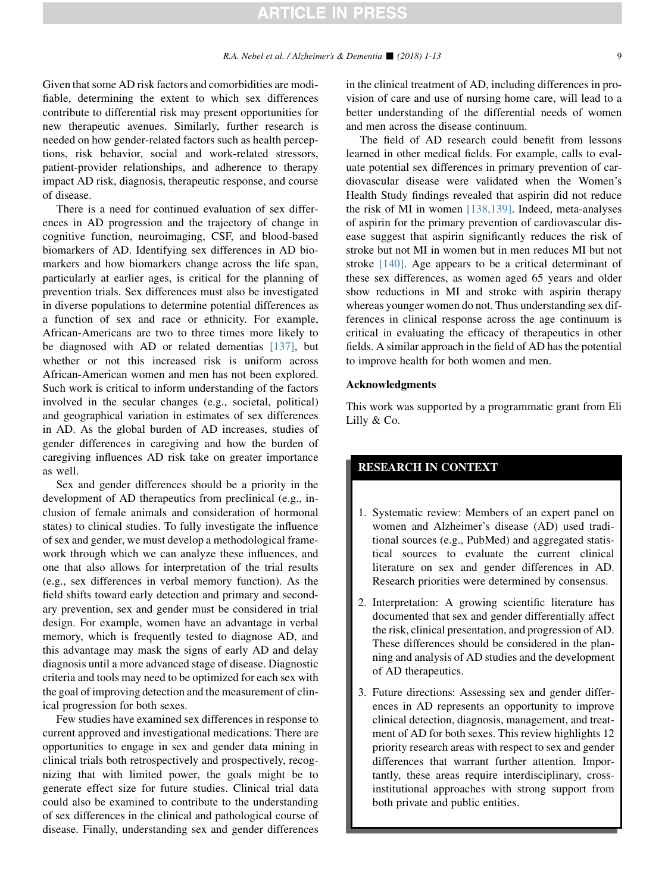Given that some AD risk factors and comorbidities are modifiable, determining the extent to which sex differences contribute to differential risk may present opportunities for new therapeutic avenues. Similarly, further research is needed on how gender-related factors such as health perceptions, risk behavior, social and work-related stressors, patient-provider relationships, and adherence to therapy impact AD risk, diagnosis, therapeutic response, and course of disease.

There is a need for continued evaluation of sex differences in AD progression and the trajectory of change in cognitive function, neuroimaging, CSF, and blood-based biomarkers of AD. Identifying sex differences in AD biomarkers and how biomarkers change across the life span, particularly at earlier ages, is critical for the planning of prevention trials. Sex differences must also be investigated in diverse populations to determine potential differences as a function of sex and race or ethnicity. For example, African-Americans are two to three times more likely to be diagnosed with AD or related dementias [\[137\]](#page-12-0), but whether or not this increased risk is uniform across African-American women and men has not been explored. Such work is critical to inform understanding of the factors involved in the secular changes (e.g., societal, political) and geographical variation in estimates of sex differences in AD. As the global burden of AD increases, studies of gender differences in caregiving and how the burden of caregiving influences AD risk take on greater importance as well.

Sex and gender differences should be a priority in the development of AD therapeutics from preclinical (e.g., inclusion of female animals and consideration of hormonal states) to clinical studies. To fully investigate the influence of sex and gender, we must develop a methodological framework through which we can analyze these influences, and one that also allows for interpretation of the trial results (e.g., sex differences in verbal memory function). As the field shifts toward early detection and primary and secondary prevention, sex and gender must be considered in trial design. For example, women have an advantage in verbal memory, which is frequently tested to diagnose AD, and this advantage may mask the signs of early AD and delay diagnosis until a more advanced stage of disease. Diagnostic criteria and tools may need to be optimized for each sex with the goal of improving detection and the measurement of clinical progression for both sexes.

Few studies have examined sex differences in response to current approved and investigational medications. There are opportunities to engage in sex and gender data mining in clinical trials both retrospectively and prospectively, recognizing that with limited power, the goals might be to generate effect size for future studies. Clinical trial data could also be examined to contribute to the understanding of sex differences in the clinical and pathological course of disease. Finally, understanding sex and gender differences

in the clinical treatment of AD, including differences in provision of care and use of nursing home care, will lead to a better understanding of the differential needs of women and men across the disease continuum.

The field of AD research could benefit from lessons learned in other medical fields. For example, calls to evaluate potential sex differences in primary prevention of cardiovascular disease were validated when the Women's Health Study findings revealed that aspirin did not reduce the risk of MI in women [\[138,139\].](#page-12-0) Indeed, meta-analyses of aspirin for the primary prevention of cardiovascular disease suggest that aspirin significantly reduces the risk of stroke but not MI in women but in men reduces MI but not stroke [\[140\]](#page-12-0). Age appears to be a critical determinant of these sex differences, as women aged 65 years and older show reductions in MI and stroke with aspirin therapy whereas younger women do not. Thus understanding sex differences in clinical response across the age continuum is critical in evaluating the efficacy of therapeutics in other fields. A similar approach in the field of AD has the potential to improve health for both women and men.

#### Acknowledgments

This work was supported by a programmatic grant from Eli Lilly & Co.

### RESEARCH IN CONTEXT

- 1. Systematic review: Members of an expert panel on women and Alzheimer's disease (AD) used traditional sources (e.g., PubMed) and aggregated statistical sources to evaluate the current clinical literature on sex and gender differences in AD. Research priorities were determined by consensus.
- 2. Interpretation: A growing scientific literature has documented that sex and gender differentially affect the risk, clinical presentation, and progression of AD. These differences should be considered in the planning and analysis of AD studies and the development of AD therapeutics.
- 3. Future directions: Assessing sex and gender differences in AD represents an opportunity to improve clinical detection, diagnosis, management, and treatment of AD for both sexes. This review highlights 12 priority research areas with respect to sex and gender differences that warrant further attention. Importantly, these areas require interdisciplinary, crossinstitutional approaches with strong support from both private and public entities.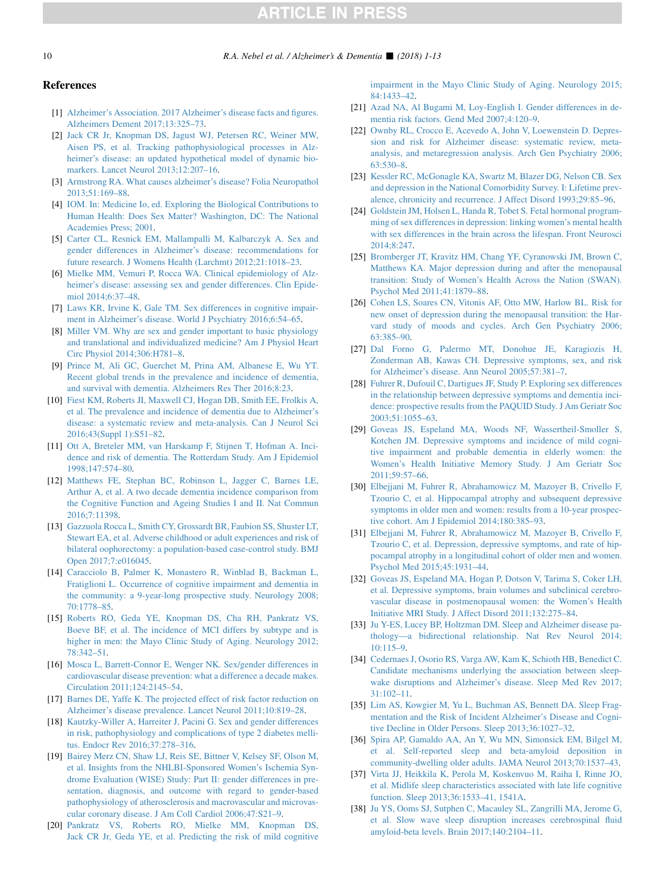#### <span id="page-9-0"></span>References

- [1] [Alzheimer's Association. 2017 Alzheimer's disease facts and figures.](http://refhub.elsevier.com/S1552-5260(18)30130-4/sref1) [Alzheimers Dement 2017;13:325–73.](http://refhub.elsevier.com/S1552-5260(18)30130-4/sref1)
- [2] [Jack CR Jr, Knopman DS, Jagust WJ, Petersen RC, Weiner MW,](http://refhub.elsevier.com/S1552-5260(18)30130-4/sref2) [Aisen PS, et al. Tracking pathophysiological processes in Alz](http://refhub.elsevier.com/S1552-5260(18)30130-4/sref2)[heimer's disease: an updated hypothetical model of dynamic bio](http://refhub.elsevier.com/S1552-5260(18)30130-4/sref2)[markers. Lancet Neurol 2013;12:207–16.](http://refhub.elsevier.com/S1552-5260(18)30130-4/sref2)
- [3] [Armstrong RA. What causes alzheimer's disease? Folia Neuropathol](http://refhub.elsevier.com/S1552-5260(18)30130-4/sref3) [2013;51:169–88](http://refhub.elsevier.com/S1552-5260(18)30130-4/sref3).
- [4] [IOM. In: Medicine Io, ed. Exploring the Biological Contributions to](http://refhub.elsevier.com/S1552-5260(18)30130-4/sref4) [Human Health: Does Sex Matter? Washington, DC: The National](http://refhub.elsevier.com/S1552-5260(18)30130-4/sref4) [Academies Press; 2001.](http://refhub.elsevier.com/S1552-5260(18)30130-4/sref4)
- [5] [Carter CL, Resnick EM, Mallampalli M, Kalbarczyk A. Sex and](http://refhub.elsevier.com/S1552-5260(18)30130-4/sref5) [gender differences in Alzheimer's disease: recommendations for](http://refhub.elsevier.com/S1552-5260(18)30130-4/sref5) [future research. J Womens Health \(Larchmt\) 2012;21:1018–23.](http://refhub.elsevier.com/S1552-5260(18)30130-4/sref5)
- [6] [Mielke MM, Vemuri P, Rocca WA. Clinical epidemiology of Alz](http://refhub.elsevier.com/S1552-5260(18)30130-4/sref6)[heimer's disease: assessing sex and gender differences. Clin Epide](http://refhub.elsevier.com/S1552-5260(18)30130-4/sref6)[miol 2014;6:37–48](http://refhub.elsevier.com/S1552-5260(18)30130-4/sref6).
- [7] [Laws KR, Irvine K, Gale TM. Sex differences in cognitive impair](http://refhub.elsevier.com/S1552-5260(18)30130-4/sref7)[ment in Alzheimer's disease. World J Psychiatry 2016;6:54–65.](http://refhub.elsevier.com/S1552-5260(18)30130-4/sref7)
- [8] [Miller VM. Why are sex and gender important to basic physiology](http://refhub.elsevier.com/S1552-5260(18)30130-4/sref8) [and translational and individualized medicine? Am J Physiol Heart](http://refhub.elsevier.com/S1552-5260(18)30130-4/sref8) [Circ Physiol 2014;306:H781–8](http://refhub.elsevier.com/S1552-5260(18)30130-4/sref8).
- [9] [Prince M, Ali GC, Guerchet M, Prina AM, Albanese E, Wu YT.](http://refhub.elsevier.com/S1552-5260(18)30130-4/sref9) [Recent global trends in the prevalence and incidence of dementia,](http://refhub.elsevier.com/S1552-5260(18)30130-4/sref9) [and survival with dementia. Alzheimers Res Ther 2016;8:23](http://refhub.elsevier.com/S1552-5260(18)30130-4/sref9).
- [10] [Fiest KM, Roberts JI, Maxwell CJ, Hogan DB, Smith EE, Frolkis A,](http://refhub.elsevier.com/S1552-5260(18)30130-4/sref10) [et al. The prevalence and incidence of dementia due to Alzheimer's](http://refhub.elsevier.com/S1552-5260(18)30130-4/sref10) [disease: a systematic review and meta-analysis. Can J Neurol Sci](http://refhub.elsevier.com/S1552-5260(18)30130-4/sref10) [2016;43\(Suppl 1\):S51–82.](http://refhub.elsevier.com/S1552-5260(18)30130-4/sref10)
- [11] [Ott A, Breteler MM, van Harskamp F, Stijnen T, Hofman A. Inci](http://refhub.elsevier.com/S1552-5260(18)30130-4/sref11)[dence and risk of dementia. The Rotterdam Study. Am J Epidemiol](http://refhub.elsevier.com/S1552-5260(18)30130-4/sref11) [1998;147:574–80](http://refhub.elsevier.com/S1552-5260(18)30130-4/sref11).
- [12] [Matthews FE, Stephan BC, Robinson L, Jagger C, Barnes LE,](http://refhub.elsevier.com/S1552-5260(18)30130-4/sref12) [Arthur A, et al. A two decade dementia incidence comparison from](http://refhub.elsevier.com/S1552-5260(18)30130-4/sref12) [the Cognitive Function and Ageing Studies I and II. Nat Commun](http://refhub.elsevier.com/S1552-5260(18)30130-4/sref12) [2016;7:11398](http://refhub.elsevier.com/S1552-5260(18)30130-4/sref12).
- [13] [Gazzuola Rocca L, Smith CY, Grossardt BR, Faubion SS, Shuster LT,](http://refhub.elsevier.com/S1552-5260(18)30130-4/sref13) [Stewart EA, et al. Adverse childhood or adult experiences and risk of](http://refhub.elsevier.com/S1552-5260(18)30130-4/sref13) [bilateral oophorectomy: a population-based case-control study. BMJ](http://refhub.elsevier.com/S1552-5260(18)30130-4/sref13) [Open 2017;7:e016045](http://refhub.elsevier.com/S1552-5260(18)30130-4/sref13).
- [14] [Caracciolo B, Palmer K, Monastero R, Winblad B, Backman L,](http://refhub.elsevier.com/S1552-5260(18)30130-4/sref14) [Fratiglioni L. Occurrence of cognitive impairment and dementia in](http://refhub.elsevier.com/S1552-5260(18)30130-4/sref14) [the community: a 9-year-long prospective study. Neurology 2008;](http://refhub.elsevier.com/S1552-5260(18)30130-4/sref14) [70:1778–85](http://refhub.elsevier.com/S1552-5260(18)30130-4/sref14).
- [15] [Roberts RO, Geda YE, Knopman DS, Cha RH, Pankratz VS,](http://refhub.elsevier.com/S1552-5260(18)30130-4/sref15) [Boeve BF, et al. The incidence of MCI differs by subtype and is](http://refhub.elsevier.com/S1552-5260(18)30130-4/sref15) [higher in men: the Mayo Clinic Study of Aging. Neurology 2012;](http://refhub.elsevier.com/S1552-5260(18)30130-4/sref15) [78:342–51](http://refhub.elsevier.com/S1552-5260(18)30130-4/sref15).
- [16] [Mosca L, Barrett-Connor E, Wenger NK. Sex/gender differences in](http://refhub.elsevier.com/S1552-5260(18)30130-4/sref16) [cardiovascular disease prevention: what a difference a decade makes.](http://refhub.elsevier.com/S1552-5260(18)30130-4/sref16) [Circulation 2011;124:2145–54](http://refhub.elsevier.com/S1552-5260(18)30130-4/sref16).
- [17] [Barnes DE, Yaffe K. The projected effect of risk factor reduction on](http://refhub.elsevier.com/S1552-5260(18)30130-4/sref17) [Alzheimer's disease prevalence. Lancet Neurol 2011;10:819–28.](http://refhub.elsevier.com/S1552-5260(18)30130-4/sref17)
- [18] [Kautzky-Willer A, Harreiter J, Pacini G. Sex and gender differences](http://refhub.elsevier.com/S1552-5260(18)30130-4/sref18) [in risk, pathophysiology and complications of type 2 diabetes melli](http://refhub.elsevier.com/S1552-5260(18)30130-4/sref18)[tus. Endocr Rev 2016;37:278–316.](http://refhub.elsevier.com/S1552-5260(18)30130-4/sref18)
- [19] [Bairey Merz CN, Shaw LJ, Reis SE, Bittner V, Kelsey SF, Olson M,](http://refhub.elsevier.com/S1552-5260(18)30130-4/sref19) [et al. Insights from the NHLBI-Sponsored Women's Ischemia Syn](http://refhub.elsevier.com/S1552-5260(18)30130-4/sref19)[drome Evaluation \(WISE\) Study: Part II: gender differences in pre](http://refhub.elsevier.com/S1552-5260(18)30130-4/sref19)[sentation, diagnosis, and outcome with regard to gender-based](http://refhub.elsevier.com/S1552-5260(18)30130-4/sref19) [pathophysiology of atherosclerosis and macrovascular and microvas](http://refhub.elsevier.com/S1552-5260(18)30130-4/sref19)[cular coronary disease. J Am Coll Cardiol 2006;47:S21–9.](http://refhub.elsevier.com/S1552-5260(18)30130-4/sref19)
- [20] [Pankratz VS, Roberts RO, Mielke MM, Knopman DS,](http://refhub.elsevier.com/S1552-5260(18)30130-4/sref20) [Jack CR Jr, Geda YE, et al. Predicting the risk of mild cognitive](http://refhub.elsevier.com/S1552-5260(18)30130-4/sref20)

[impairment in the Mayo Clinic Study of Aging. Neurology 2015;](http://refhub.elsevier.com/S1552-5260(18)30130-4/sref20) [84:1433–42](http://refhub.elsevier.com/S1552-5260(18)30130-4/sref20).

- [21] [Azad NA, Al Bugami M, Loy-English I. Gender differences in de](http://refhub.elsevier.com/S1552-5260(18)30130-4/sref21)[mentia risk factors. Gend Med 2007;4:120–9.](http://refhub.elsevier.com/S1552-5260(18)30130-4/sref21)
- [22] [Ownby RL, Crocco E, Acevedo A, John V, Loewenstein D. Depres](http://refhub.elsevier.com/S1552-5260(18)30130-4/sref22)[sion and risk for Alzheimer disease: systematic review, meta](http://refhub.elsevier.com/S1552-5260(18)30130-4/sref22)[analysis, and metaregression analysis. Arch Gen Psychiatry 2006;](http://refhub.elsevier.com/S1552-5260(18)30130-4/sref22) [63:530–8](http://refhub.elsevier.com/S1552-5260(18)30130-4/sref22).
- [23] [Kessler RC, McGonagle KA, Swartz M, Blazer DG, Nelson CB. Sex](http://refhub.elsevier.com/S1552-5260(18)30130-4/sref23) [and depression in the National Comorbidity Survey. I: Lifetime prev](http://refhub.elsevier.com/S1552-5260(18)30130-4/sref23)[alence, chronicity and recurrence. J Affect Disord 1993;29:85–96](http://refhub.elsevier.com/S1552-5260(18)30130-4/sref23).
- [24] [Goldstein JM, Holsen L, Handa R, Tobet S. Fetal hormonal program](http://refhub.elsevier.com/S1552-5260(18)30130-4/sref24)[ming of sex differences in depression: linking women's mental health](http://refhub.elsevier.com/S1552-5260(18)30130-4/sref24) [with sex differences in the brain across the lifespan. Front Neurosci](http://refhub.elsevier.com/S1552-5260(18)30130-4/sref24) [2014;8:247](http://refhub.elsevier.com/S1552-5260(18)30130-4/sref24).
- [25] [Bromberger JT, Kravitz HM, Chang YF, Cyranowski JM, Brown C,](http://refhub.elsevier.com/S1552-5260(18)30130-4/sref25) [Matthews KA. Major depression during and after the menopausal](http://refhub.elsevier.com/S1552-5260(18)30130-4/sref25) [transition: Study of Women's Health Across the Nation \(SWAN\).](http://refhub.elsevier.com/S1552-5260(18)30130-4/sref25) [Psychol Med 2011;41:1879–88](http://refhub.elsevier.com/S1552-5260(18)30130-4/sref25).
- [26] [Cohen LS, Soares CN, Vitonis AF, Otto MW, Harlow BL. Risk for](http://refhub.elsevier.com/S1552-5260(18)30130-4/sref26) [new onset of depression during the menopausal transition: the Har](http://refhub.elsevier.com/S1552-5260(18)30130-4/sref26)[vard study of moods and cycles. Arch Gen Psychiatry 2006;](http://refhub.elsevier.com/S1552-5260(18)30130-4/sref26) [63:385–90](http://refhub.elsevier.com/S1552-5260(18)30130-4/sref26).
- [27] [Dal Forno G, Palermo MT, Donohue JE, Karagiozis H,](http://refhub.elsevier.com/S1552-5260(18)30130-4/sref27) [Zonderman AB, Kawas CH. Depressive symptoms, sex, and risk](http://refhub.elsevier.com/S1552-5260(18)30130-4/sref27) [for Alzheimer's disease. Ann Neurol 2005;57:381–7](http://refhub.elsevier.com/S1552-5260(18)30130-4/sref27).
- [28] [Fuhrer R, Dufouil C, Dartigues JF, Study P. Exploring sex differences](http://refhub.elsevier.com/S1552-5260(18)30130-4/sref28) [in the relationship between depressive symptoms and dementia inci](http://refhub.elsevier.com/S1552-5260(18)30130-4/sref28)[dence: prospective results from the PAQUID Study. J Am Geriatr Soc](http://refhub.elsevier.com/S1552-5260(18)30130-4/sref28) [2003;51:1055–63](http://refhub.elsevier.com/S1552-5260(18)30130-4/sref28).
- [29] [Goveas JS, Espeland MA, Woods NF, Wassertheil-Smoller S,](http://refhub.elsevier.com/S1552-5260(18)30130-4/sref29) [Kotchen JM. Depressive symptoms and incidence of mild cogni](http://refhub.elsevier.com/S1552-5260(18)30130-4/sref29)[tive impairment and probable dementia in elderly women: the](http://refhub.elsevier.com/S1552-5260(18)30130-4/sref29) [Women's Health Initiative Memory Study. J Am Geriatr Soc](http://refhub.elsevier.com/S1552-5260(18)30130-4/sref29) [2011;59:57–66](http://refhub.elsevier.com/S1552-5260(18)30130-4/sref29).
- [30] [Elbejjani M, Fuhrer R, Abrahamowicz M, Mazoyer B, Crivello F,](http://refhub.elsevier.com/S1552-5260(18)30130-4/sref30) [Tzourio C, et al. Hippocampal atrophy and subsequent depressive](http://refhub.elsevier.com/S1552-5260(18)30130-4/sref30) [symptoms in older men and women: results from a 10-year prospec](http://refhub.elsevier.com/S1552-5260(18)30130-4/sref30)[tive cohort. Am J Epidemiol 2014;180:385–93.](http://refhub.elsevier.com/S1552-5260(18)30130-4/sref30)
- [31] [Elbejjani M, Fuhrer R, Abrahamowicz M, Mazoyer B, Crivello F,](http://refhub.elsevier.com/S1552-5260(18)30130-4/sref31) [Tzourio C, et al. Depression, depressive symptoms, and rate of hip](http://refhub.elsevier.com/S1552-5260(18)30130-4/sref31)[pocampal atrophy in a longitudinal cohort of older men and women.](http://refhub.elsevier.com/S1552-5260(18)30130-4/sref31) [Psychol Med 2015;45:1931–44](http://refhub.elsevier.com/S1552-5260(18)30130-4/sref31).
- [32] [Goveas JS, Espeland MA, Hogan P, Dotson V, Tarima S, Coker LH,](http://refhub.elsevier.com/S1552-5260(18)30130-4/sref32) [et al. Depressive symptoms, brain volumes and subclinical cerebro](http://refhub.elsevier.com/S1552-5260(18)30130-4/sref32)[vascular disease in postmenopausal women: the Women's Health](http://refhub.elsevier.com/S1552-5260(18)30130-4/sref32) [Initiative MRI Study. J Affect Disord 2011;132:275–84.](http://refhub.elsevier.com/S1552-5260(18)30130-4/sref32)
- [33] [Ju Y-ES, Lucey BP, Holtzman DM. Sleep and Alzheimer disease pa](http://refhub.elsevier.com/S1552-5260(18)30130-4/sref33)[thology––a bidirectional relationship. Nat Rev Neurol 2014;](http://refhub.elsevier.com/S1552-5260(18)30130-4/sref33) [10:115–9](http://refhub.elsevier.com/S1552-5260(18)30130-4/sref33).
- [34] [Cedernaes J, Osorio RS, Varga AW, Kam K, Schioth HB, Benedict C.](http://refhub.elsevier.com/S1552-5260(18)30130-4/sref34) [Candidate mechanisms underlying the association between sleep](http://refhub.elsevier.com/S1552-5260(18)30130-4/sref34)[wake disruptions and Alzheimer's disease. Sleep Med Rev 2017;](http://refhub.elsevier.com/S1552-5260(18)30130-4/sref34) [31:102–11](http://refhub.elsevier.com/S1552-5260(18)30130-4/sref34).
- [35] [Lim AS, Kowgier M, Yu L, Buchman AS, Bennett DA. Sleep Frag](http://refhub.elsevier.com/S1552-5260(18)30130-4/sref35)[mentation and the Risk of Incident Alzheimer's Disease and Cogni](http://refhub.elsevier.com/S1552-5260(18)30130-4/sref35)[tive Decline in Older Persons. Sleep 2013;36:1027–32.](http://refhub.elsevier.com/S1552-5260(18)30130-4/sref35)
- [36] [Spira AP, Gamaldo AA, An Y, Wu MN, Simonsick EM, Bilgel M,](http://refhub.elsevier.com/S1552-5260(18)30130-4/sref36) [et al. Self-reported sleep and beta-amyloid deposition in](http://refhub.elsevier.com/S1552-5260(18)30130-4/sref36) [community-dwelling older adults. JAMA Neurol 2013;70:1537–43.](http://refhub.elsevier.com/S1552-5260(18)30130-4/sref36)
- [37] [Virta JJ, Heikkila K, Perola M, Koskenvuo M, Raiha I, Rinne JO,](http://refhub.elsevier.com/S1552-5260(18)30130-4/sref37) [et al. Midlife sleep characteristics associated with late life cognitive](http://refhub.elsevier.com/S1552-5260(18)30130-4/sref37) [function. Sleep 2013;36:1533–41, 1541A.](http://refhub.elsevier.com/S1552-5260(18)30130-4/sref37)
- [38] [Ju YS, Ooms SJ, Sutphen C, Macauley SL, Zangrilli MA, Jerome G,](http://refhub.elsevier.com/S1552-5260(18)30130-4/sref38) [et al. Slow wave sleep disruption increases cerebrospinal fluid](http://refhub.elsevier.com/S1552-5260(18)30130-4/sref38) [amyloid-beta levels. Brain 2017;140:2104–11](http://refhub.elsevier.com/S1552-5260(18)30130-4/sref38).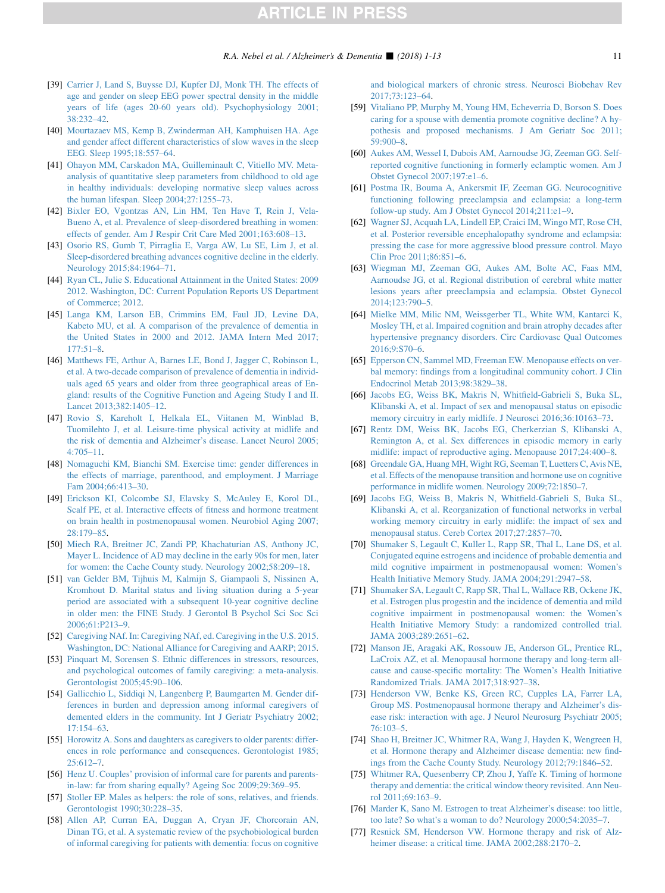- <span id="page-10-0"></span>[39] [Carrier J, Land S, Buysse DJ, Kupfer DJ, Monk TH. The effects of](http://refhub.elsevier.com/S1552-5260(18)30130-4/sref39) [age and gender on sleep EEG power spectral density in the middle](http://refhub.elsevier.com/S1552-5260(18)30130-4/sref39) [years of life \(ages 20-60 years old\). Psychophysiology 2001;](http://refhub.elsevier.com/S1552-5260(18)30130-4/sref39) [38:232–42](http://refhub.elsevier.com/S1552-5260(18)30130-4/sref39).
- [40] [Mourtazaev MS, Kemp B, Zwinderman AH, Kamphuisen HA. Age](http://refhub.elsevier.com/S1552-5260(18)30130-4/sref40) [and gender affect different characteristics of slow waves in the sleep](http://refhub.elsevier.com/S1552-5260(18)30130-4/sref40) [EEG. Sleep 1995;18:557–64.](http://refhub.elsevier.com/S1552-5260(18)30130-4/sref40)
- [41] [Ohayon MM, Carskadon MA, Guilleminault C, Vitiello MV. Meta](http://refhub.elsevier.com/S1552-5260(18)30130-4/sref41)[analysis of quantitative sleep parameters from childhood to old age](http://refhub.elsevier.com/S1552-5260(18)30130-4/sref41) [in healthy individuals: developing normative sleep values across](http://refhub.elsevier.com/S1552-5260(18)30130-4/sref41) [the human lifespan. Sleep 2004;27:1255–73.](http://refhub.elsevier.com/S1552-5260(18)30130-4/sref41)
- [42] [Bixler EO, Vgontzas AN, Lin HM, Ten Have T, Rein J, Vela-](http://refhub.elsevier.com/S1552-5260(18)30130-4/sref42)[Bueno A, et al. Prevalence of sleep-disordered breathing in women:](http://refhub.elsevier.com/S1552-5260(18)30130-4/sref42) [effects of gender. Am J Respir Crit Care Med 2001;163:608–13](http://refhub.elsevier.com/S1552-5260(18)30130-4/sref42).
- [43] [Osorio RS, Gumb T, Pirraglia E, Varga AW, Lu SE, Lim J, et al.](http://refhub.elsevier.com/S1552-5260(18)30130-4/sref43) [Sleep-disordered breathing advances cognitive decline in the elderly.](http://refhub.elsevier.com/S1552-5260(18)30130-4/sref43) [Neurology 2015;84:1964–71.](http://refhub.elsevier.com/S1552-5260(18)30130-4/sref43)
- [44] [Ryan CL, Julie S. Educational Attainment in the United States: 2009](http://refhub.elsevier.com/S1552-5260(18)30130-4/sref44) [2012. Washington, DC: Current Population Reports US Department](http://refhub.elsevier.com/S1552-5260(18)30130-4/sref44) [of Commerce; 2012](http://refhub.elsevier.com/S1552-5260(18)30130-4/sref44).
- [45] [Langa KM, Larson EB, Crimmins EM, Faul JD, Levine DA,](http://refhub.elsevier.com/S1552-5260(18)30130-4/sref45) [Kabeto MU, et al. A comparison of the prevalence of dementia in](http://refhub.elsevier.com/S1552-5260(18)30130-4/sref45) [the United States in 2000 and 2012. JAMA Intern Med 2017;](http://refhub.elsevier.com/S1552-5260(18)30130-4/sref45) [177:51–8](http://refhub.elsevier.com/S1552-5260(18)30130-4/sref45).
- [46] [Matthews FE, Arthur A, Barnes LE, Bond J, Jagger C, Robinson L,](http://refhub.elsevier.com/S1552-5260(18)30130-4/sref46) [et al. A two-decade comparison of prevalence of dementia in individ](http://refhub.elsevier.com/S1552-5260(18)30130-4/sref46)[uals aged 65 years and older from three geographical areas of En](http://refhub.elsevier.com/S1552-5260(18)30130-4/sref46)[gland: results of the Cognitive Function and Ageing Study I and II.](http://refhub.elsevier.com/S1552-5260(18)30130-4/sref46) [Lancet 2013;382:1405–12](http://refhub.elsevier.com/S1552-5260(18)30130-4/sref46).
- [47] [Rovio S, Kareholt I, Helkala EL, Viitanen M, Winblad B,](http://refhub.elsevier.com/S1552-5260(18)30130-4/sref47) [Tuomilehto J, et al. Leisure-time physical activity at midlife and](http://refhub.elsevier.com/S1552-5260(18)30130-4/sref47) [the risk of dementia and Alzheimer's disease. Lancet Neurol 2005;](http://refhub.elsevier.com/S1552-5260(18)30130-4/sref47) [4:705–11](http://refhub.elsevier.com/S1552-5260(18)30130-4/sref47).
- [48] [Nomaguchi KM, Bianchi SM. Exercise time: gender differences in](http://refhub.elsevier.com/S1552-5260(18)30130-4/sref48) [the effects of marriage, parenthood, and employment. J Marriage](http://refhub.elsevier.com/S1552-5260(18)30130-4/sref48) [Fam 2004;66:413–30.](http://refhub.elsevier.com/S1552-5260(18)30130-4/sref48)
- [49] [Erickson KI, Colcombe SJ, Elavsky S, McAuley E, Korol DL,](http://refhub.elsevier.com/S1552-5260(18)30130-4/sref49) [Scalf PE, et al. Interactive effects of fitness and hormone treatment](http://refhub.elsevier.com/S1552-5260(18)30130-4/sref49) [on brain health in postmenopausal women. Neurobiol Aging 2007;](http://refhub.elsevier.com/S1552-5260(18)30130-4/sref49) [28:179–85](http://refhub.elsevier.com/S1552-5260(18)30130-4/sref49).
- [50] [Miech RA, Breitner JC, Zandi PP, Khachaturian AS, Anthony JC,](http://refhub.elsevier.com/S1552-5260(18)30130-4/sref50) [Mayer L. Incidence of AD may decline in the early 90s for men, later](http://refhub.elsevier.com/S1552-5260(18)30130-4/sref50) [for women: the Cache County study. Neurology 2002;58:209–18.](http://refhub.elsevier.com/S1552-5260(18)30130-4/sref50)
- [51] [van Gelder BM, Tijhuis M, Kalmijn S, Giampaoli S, Nissinen A,](http://refhub.elsevier.com/S1552-5260(18)30130-4/sref51) [Kromhout D. Marital status and living situation during a 5-year](http://refhub.elsevier.com/S1552-5260(18)30130-4/sref51) [period are associated with a subsequent 10-year cognitive decline](http://refhub.elsevier.com/S1552-5260(18)30130-4/sref51) [in older men: the FINE Study. J Gerontol B Psychol Sci Soc Sci](http://refhub.elsevier.com/S1552-5260(18)30130-4/sref51) [2006;61:P213–9.](http://refhub.elsevier.com/S1552-5260(18)30130-4/sref51)
- [52] [Caregiving NAf. In: Caregiving NAf, ed. Caregiving in the U.S. 2015.](http://refhub.elsevier.com/S1552-5260(18)30130-4/sref52) [Washington, DC: National Alliance for Caregiving and AARP; 2015](http://refhub.elsevier.com/S1552-5260(18)30130-4/sref52).
- [53] [Pinquart M, Sorensen S. Ethnic differences in stressors, resources,](http://refhub.elsevier.com/S1552-5260(18)30130-4/sref53) [and psychological outcomes of family caregiving: a meta-analysis.](http://refhub.elsevier.com/S1552-5260(18)30130-4/sref53) [Gerontologist 2005;45:90–106](http://refhub.elsevier.com/S1552-5260(18)30130-4/sref53).
- [54] [Gallicchio L, Siddiqi N, Langenberg P, Baumgarten M. Gender dif](http://refhub.elsevier.com/S1552-5260(18)30130-4/sref54)[ferences in burden and depression among informal caregivers of](http://refhub.elsevier.com/S1552-5260(18)30130-4/sref54) [demented elders in the community. Int J Geriatr Psychiatry 2002;](http://refhub.elsevier.com/S1552-5260(18)30130-4/sref54) [17:154–63](http://refhub.elsevier.com/S1552-5260(18)30130-4/sref54).
- [55] [Horowitz A. Sons and daughters as caregivers to older parents: differ](http://refhub.elsevier.com/S1552-5260(18)30130-4/sref55)[ences in role performance and consequences. Gerontologist 1985;](http://refhub.elsevier.com/S1552-5260(18)30130-4/sref55)  $25:612 - 7$
- [56] [Henz U. Couples' provision of informal care for parents and parents](http://refhub.elsevier.com/S1552-5260(18)30130-4/sref56)[in-law: far from sharing equally? Ageing Soc 2009;29:369–95.](http://refhub.elsevier.com/S1552-5260(18)30130-4/sref56)
- [57] [Stoller EP. Males as helpers: the role of sons, relatives, and friends.](http://refhub.elsevier.com/S1552-5260(18)30130-4/sref57) [Gerontologist 1990;30:228–35](http://refhub.elsevier.com/S1552-5260(18)30130-4/sref57).
- [58] [Allen AP, Curran EA, Duggan A, Cryan JF, Chorcorain AN,](http://refhub.elsevier.com/S1552-5260(18)30130-4/sref58) [Dinan TG, et al. A systematic review of the psychobiological burden](http://refhub.elsevier.com/S1552-5260(18)30130-4/sref58) [of informal caregiving for patients with dementia: focus on cognitive](http://refhub.elsevier.com/S1552-5260(18)30130-4/sref58)

[and biological markers of chronic stress. Neurosci Biobehav Rev](http://refhub.elsevier.com/S1552-5260(18)30130-4/sref58) [2017;73:123–64](http://refhub.elsevier.com/S1552-5260(18)30130-4/sref58).

- [59] [Vitaliano PP, Murphy M, Young HM, Echeverria D, Borson S. Does](http://refhub.elsevier.com/S1552-5260(18)30130-4/sref59) [caring for a spouse with dementia promote cognitive decline? A hy](http://refhub.elsevier.com/S1552-5260(18)30130-4/sref59)[pothesis and proposed mechanisms. J Am Geriatr Soc 2011;](http://refhub.elsevier.com/S1552-5260(18)30130-4/sref59) [59:900–8](http://refhub.elsevier.com/S1552-5260(18)30130-4/sref59).
- [60] [Aukes AM, Wessel I, Dubois AM, Aarnoudse JG, Zeeman GG. Self](http://refhub.elsevier.com/S1552-5260(18)30130-4/sref60)[reported cognitive functioning in formerly eclamptic women. Am J](http://refhub.elsevier.com/S1552-5260(18)30130-4/sref60) [Obstet Gynecol 2007;197:e1–6](http://refhub.elsevier.com/S1552-5260(18)30130-4/sref60).
- [61] [Postma IR, Bouma A, Ankersmit IF, Zeeman GG. Neurocognitive](http://refhub.elsevier.com/S1552-5260(18)30130-4/sref61) [functioning following preeclampsia and eclampsia: a long-term](http://refhub.elsevier.com/S1552-5260(18)30130-4/sref61) [follow-up study. Am J Obstet Gynecol 2014;211:e1–9.](http://refhub.elsevier.com/S1552-5260(18)30130-4/sref61)
- [62] [Wagner SJ, Acquah LA, Lindell EP, Craici IM, Wingo MT, Rose CH,](http://refhub.elsevier.com/S1552-5260(18)30130-4/sref62) [et al. Posterior reversible encephalopathy syndrome and eclampsia:](http://refhub.elsevier.com/S1552-5260(18)30130-4/sref62) [pressing the case for more aggressive blood pressure control. Mayo](http://refhub.elsevier.com/S1552-5260(18)30130-4/sref62) [Clin Proc 2011;86:851–6](http://refhub.elsevier.com/S1552-5260(18)30130-4/sref62).
- [63] [Wiegman MJ, Zeeman GG, Aukes AM, Bolte AC, Faas MM,](http://refhub.elsevier.com/S1552-5260(18)30130-4/sref63) [Aarnoudse JG, et al. Regional distribution of cerebral white matter](http://refhub.elsevier.com/S1552-5260(18)30130-4/sref63) [lesions years after preeclampsia and eclampsia. Obstet Gynecol](http://refhub.elsevier.com/S1552-5260(18)30130-4/sref63) [2014;123:790–5](http://refhub.elsevier.com/S1552-5260(18)30130-4/sref63).
- [64] [Mielke MM, Milic NM, Weissgerber TL, White WM, Kantarci K,](http://refhub.elsevier.com/S1552-5260(18)30130-4/sref64) [Mosley TH, et al. Impaired cognition and brain atrophy decades after](http://refhub.elsevier.com/S1552-5260(18)30130-4/sref64) [hypertensive pregnancy disorders. Circ Cardiovasc Qual Outcomes](http://refhub.elsevier.com/S1552-5260(18)30130-4/sref64) [2016;9:S70–6.](http://refhub.elsevier.com/S1552-5260(18)30130-4/sref64)
- [65] [Epperson CN, Sammel MD, Freeman EW. Menopause effects on ver](http://refhub.elsevier.com/S1552-5260(18)30130-4/sref65)[bal memory: findings from a longitudinal community cohort. J Clin](http://refhub.elsevier.com/S1552-5260(18)30130-4/sref65) [Endocrinol Metab 2013;98:3829–38.](http://refhub.elsevier.com/S1552-5260(18)30130-4/sref65)
- [66] [Jacobs EG, Weiss BK, Makris N, Whitfield-Gabrieli S, Buka SL,](http://refhub.elsevier.com/S1552-5260(18)30130-4/sref66) [Klibanski A, et al. Impact of sex and menopausal status on episodic](http://refhub.elsevier.com/S1552-5260(18)30130-4/sref66) [memory circuitry in early midlife. J Neurosci 2016;36:10163–73.](http://refhub.elsevier.com/S1552-5260(18)30130-4/sref66)
- [67] [Rentz DM, Weiss BK, Jacobs EG, Cherkerzian S, Klibanski A,](http://refhub.elsevier.com/S1552-5260(18)30130-4/sref67) [Remington A, et al. Sex differences in episodic memory in early](http://refhub.elsevier.com/S1552-5260(18)30130-4/sref67) [midlife: impact of reproductive aging. Menopause 2017;24:400–8.](http://refhub.elsevier.com/S1552-5260(18)30130-4/sref67)
- [68] [Greendale GA, Huang MH, Wight RG, Seeman T, Luetters C, Avis NE,](http://refhub.elsevier.com/S1552-5260(18)30130-4/sref68) [et al. Effects of the menopause transition and hormone use on cognitive](http://refhub.elsevier.com/S1552-5260(18)30130-4/sref68) [performance in midlife women. Neurology 2009;72:1850–7](http://refhub.elsevier.com/S1552-5260(18)30130-4/sref68).
- [69] [Jacobs EG, Weiss B, Makris N, Whitfield-Gabrieli S, Buka SL,](http://refhub.elsevier.com/S1552-5260(18)30130-4/sref69) [Klibanski A, et al. Reorganization of functional networks in verbal](http://refhub.elsevier.com/S1552-5260(18)30130-4/sref69) [working memory circuitry in early midlife: the impact of sex and](http://refhub.elsevier.com/S1552-5260(18)30130-4/sref69) [menopausal status. Cereb Cortex 2017;27:2857–70](http://refhub.elsevier.com/S1552-5260(18)30130-4/sref69).
- [70] [Shumaker S, Legault C, Kuller L, Rapp SR, Thal L, Lane DS, et al.](http://refhub.elsevier.com/S1552-5260(18)30130-4/sref70) [Conjugated equine estrogens and incidence of probable dementia and](http://refhub.elsevier.com/S1552-5260(18)30130-4/sref70) [mild cognitive impairment in postmenopausal women: Women's](http://refhub.elsevier.com/S1552-5260(18)30130-4/sref70) [Health Initiative Memory Study. JAMA 2004;291:2947–58.](http://refhub.elsevier.com/S1552-5260(18)30130-4/sref70)
- [71] [Shumaker SA, Legault C, Rapp SR, Thal L, Wallace RB, Ockene JK,](http://refhub.elsevier.com/S1552-5260(18)30130-4/sref71) [et al. Estrogen plus progestin and the incidence of dementia and mild](http://refhub.elsevier.com/S1552-5260(18)30130-4/sref71) [cognitive impairment in postmenopausal women: the Women's](http://refhub.elsevier.com/S1552-5260(18)30130-4/sref71) [Health Initiative Memory Study: a randomized controlled trial.](http://refhub.elsevier.com/S1552-5260(18)30130-4/sref71) [JAMA 2003;289:2651–62.](http://refhub.elsevier.com/S1552-5260(18)30130-4/sref71)
- [72] [Manson JE, Aragaki AK, Rossouw JE, Anderson GL, Prentice RL,](http://refhub.elsevier.com/S1552-5260(18)30130-4/sref72) [LaCroix AZ, et al. Menopausal hormone therapy and long-term all](http://refhub.elsevier.com/S1552-5260(18)30130-4/sref72)[cause and cause-specific mortality: The Women's Health Initiative](http://refhub.elsevier.com/S1552-5260(18)30130-4/sref72) [Randomized Trials. JAMA 2017;318:927–38.](http://refhub.elsevier.com/S1552-5260(18)30130-4/sref72)
- [73] [Henderson VW, Benke KS, Green RC, Cupples LA, Farrer LA,](http://refhub.elsevier.com/S1552-5260(18)30130-4/sref73) [Group MS. Postmenopausal hormone therapy and Alzheimer's dis](http://refhub.elsevier.com/S1552-5260(18)30130-4/sref73)[ease risk: interaction with age. J Neurol Neurosurg Psychiatr 2005;](http://refhub.elsevier.com/S1552-5260(18)30130-4/sref73) [76:103–5](http://refhub.elsevier.com/S1552-5260(18)30130-4/sref73).
- [74] [Shao H, Breitner JC, Whitmer RA, Wang J, Hayden K, Wengreen H,](http://refhub.elsevier.com/S1552-5260(18)30130-4/sref74) [et al. Hormone therapy and Alzheimer disease dementia: new find](http://refhub.elsevier.com/S1552-5260(18)30130-4/sref74)[ings from the Cache County Study. Neurology 2012;79:1846–52.](http://refhub.elsevier.com/S1552-5260(18)30130-4/sref74)
- [75] [Whitmer RA, Quesenberry CP, Zhou J, Yaffe K. Timing of hormone](http://refhub.elsevier.com/S1552-5260(18)30130-4/sref75) [therapy and dementia: the critical window theory revisited. Ann Neu](http://refhub.elsevier.com/S1552-5260(18)30130-4/sref75)[rol 2011;69:163–9](http://refhub.elsevier.com/S1552-5260(18)30130-4/sref75).
- [76] [Marder K, Sano M. Estrogen to treat Alzheimer's disease: too little,](http://refhub.elsevier.com/S1552-5260(18)30130-4/sref76) [too late? So what's a woman to do? Neurology 2000;54:2035–7](http://refhub.elsevier.com/S1552-5260(18)30130-4/sref76).
- [77] [Resnick SM, Henderson VW. Hormone therapy and risk of Alz](http://refhub.elsevier.com/S1552-5260(18)30130-4/sref77)[heimer disease: a critical time. JAMA 2002;288:2170–2](http://refhub.elsevier.com/S1552-5260(18)30130-4/sref77).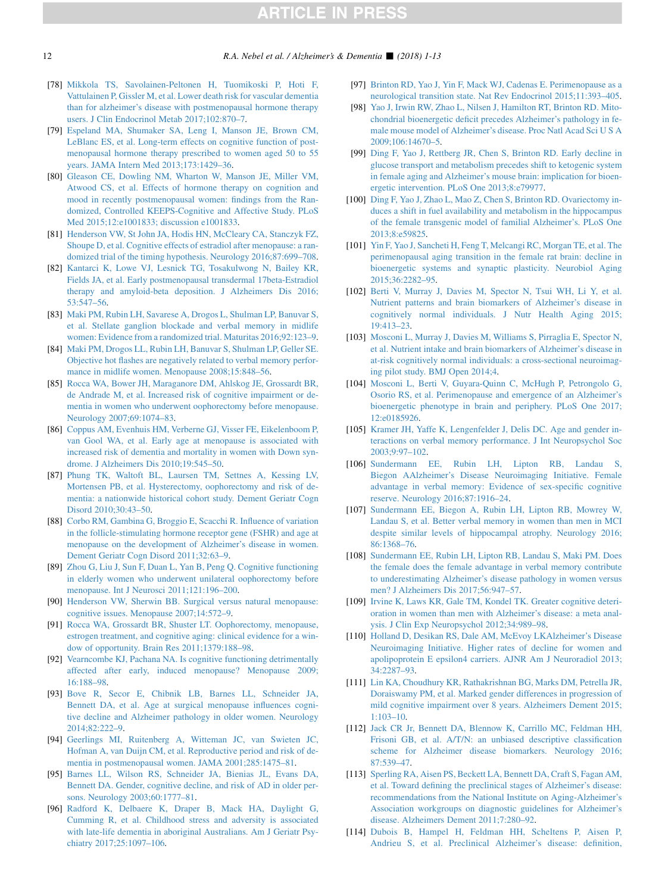#### <span id="page-11-0"></span>12 R.A. Nebel et al. / Alzheimer's & Dementia  $(2018)$  1-13

- [78] [Mikkola TS, Savolainen-Peltonen H, Tuomikoski P, Hoti F,](http://refhub.elsevier.com/S1552-5260(18)30130-4/sref78) [Vattulainen P, Gissler M, et al. Lower death risk for vascular dementia](http://refhub.elsevier.com/S1552-5260(18)30130-4/sref78) [than for alzheimer's disease with postmenopausal hormone therapy](http://refhub.elsevier.com/S1552-5260(18)30130-4/sref78) [users. J Clin Endocrinol Metab 2017;102:870–7](http://refhub.elsevier.com/S1552-5260(18)30130-4/sref78).
- [79] [Espeland MA, Shumaker SA, Leng I, Manson JE, Brown CM,](http://refhub.elsevier.com/S1552-5260(18)30130-4/sref79) [LeBlanc ES, et al. Long-term effects on cognitive function of post](http://refhub.elsevier.com/S1552-5260(18)30130-4/sref79)[menopausal hormone therapy prescribed to women aged 50 to 55](http://refhub.elsevier.com/S1552-5260(18)30130-4/sref79) [years. JAMA Intern Med 2013;173:1429–36.](http://refhub.elsevier.com/S1552-5260(18)30130-4/sref79)
- [80] [Gleason CE, Dowling NM, Wharton W, Manson JE, Miller VM,](http://refhub.elsevier.com/S1552-5260(18)30130-4/sref80) [Atwood CS, et al. Effects of hormone therapy on cognition and](http://refhub.elsevier.com/S1552-5260(18)30130-4/sref80) [mood in recently postmenopausal women: findings from the Ran](http://refhub.elsevier.com/S1552-5260(18)30130-4/sref80)[domized, Controlled KEEPS-Cognitive and Affective Study. PLoS](http://refhub.elsevier.com/S1552-5260(18)30130-4/sref80) [Med 2015;12:e1001833; discussion e1001833.](http://refhub.elsevier.com/S1552-5260(18)30130-4/sref80)
- [81] [Henderson VW, St John JA, Hodis HN, McCleary CA, Stanczyk FZ,](http://refhub.elsevier.com/S1552-5260(18)30130-4/sref81) [Shoupe D, et al. Cognitive effects of estradiol after menopause: a ran](http://refhub.elsevier.com/S1552-5260(18)30130-4/sref81)[domized trial of the timing hypothesis. Neurology 2016;87:699–708](http://refhub.elsevier.com/S1552-5260(18)30130-4/sref81).
- [82] [Kantarci K, Lowe VJ, Lesnick TG, Tosakulwong N, Bailey KR,](http://refhub.elsevier.com/S1552-5260(18)30130-4/sref82) [Fields JA, et al. Early postmenopausal transdermal 17beta-Estradiol](http://refhub.elsevier.com/S1552-5260(18)30130-4/sref82) [therapy and amyloid-beta deposition. J Alzheimers Dis 2016;](http://refhub.elsevier.com/S1552-5260(18)30130-4/sref82) [53:547–56](http://refhub.elsevier.com/S1552-5260(18)30130-4/sref82).
- [83] [Maki PM, Rubin LH, Savarese A, Drogos L, Shulman LP, Banuvar S,](http://refhub.elsevier.com/S1552-5260(18)30130-4/sref83) [et al. Stellate ganglion blockade and verbal memory in midlife](http://refhub.elsevier.com/S1552-5260(18)30130-4/sref83) [women: Evidence from a randomized trial. Maturitas 2016;92:123–9](http://refhub.elsevier.com/S1552-5260(18)30130-4/sref83).
- [84] [Maki PM, Drogos LL, Rubin LH, Banuvar S, Shulman LP, Geller SE.](http://refhub.elsevier.com/S1552-5260(18)30130-4/sref84) [Objective hot flashes are negatively related to verbal memory perfor](http://refhub.elsevier.com/S1552-5260(18)30130-4/sref84)[mance in midlife women. Menopause 2008;15:848–56.](http://refhub.elsevier.com/S1552-5260(18)30130-4/sref84)
- [85] [Rocca WA, Bower JH, Maraganore DM, Ahlskog JE, Grossardt BR,](http://refhub.elsevier.com/S1552-5260(18)30130-4/sref85) [de Andrade M, et al. Increased risk of cognitive impairment or de](http://refhub.elsevier.com/S1552-5260(18)30130-4/sref85)[mentia in women who underwent oophorectomy before menopause.](http://refhub.elsevier.com/S1552-5260(18)30130-4/sref85) [Neurology 2007;69:1074–83.](http://refhub.elsevier.com/S1552-5260(18)30130-4/sref85)
- [86] [Coppus AM, Evenhuis HM, Verberne GJ, Visser FE, Eikelenboom P,](http://refhub.elsevier.com/S1552-5260(18)30130-4/sref86) [van Gool WA, et al. Early age at menopause is associated with](http://refhub.elsevier.com/S1552-5260(18)30130-4/sref86) [increased risk of dementia and mortality in women with Down syn](http://refhub.elsevier.com/S1552-5260(18)30130-4/sref86)[drome. J Alzheimers Dis 2010;19:545–50.](http://refhub.elsevier.com/S1552-5260(18)30130-4/sref86)
- [87] [Phung TK, Waltoft BL, Laursen TM, Settnes A, Kessing LV,](http://refhub.elsevier.com/S1552-5260(18)30130-4/sref87) [Mortensen PB, et al. Hysterectomy, oophorectomy and risk of de](http://refhub.elsevier.com/S1552-5260(18)30130-4/sref87)[mentia: a nationwide historical cohort study. Dement Geriatr Cogn](http://refhub.elsevier.com/S1552-5260(18)30130-4/sref87) [Disord 2010;30:43–50](http://refhub.elsevier.com/S1552-5260(18)30130-4/sref87).
- [88] [Corbo RM, Gambina G, Broggio E, Scacchi R. Influence of variation](http://refhub.elsevier.com/S1552-5260(18)30130-4/sref88) [in the follicle-stimulating hormone receptor gene \(FSHR\) and age at](http://refhub.elsevier.com/S1552-5260(18)30130-4/sref88) [menopause on the development of Alzheimer's disease in women.](http://refhub.elsevier.com/S1552-5260(18)30130-4/sref88) [Dement Geriatr Cogn Disord 2011;32:63–9.](http://refhub.elsevier.com/S1552-5260(18)30130-4/sref88)
- [89] [Zhou G, Liu J, Sun F, Duan L, Yan B, Peng Q. Cognitive functioning](http://refhub.elsevier.com/S1552-5260(18)30130-4/sref89) [in elderly women who underwent unilateral oophorectomy before](http://refhub.elsevier.com/S1552-5260(18)30130-4/sref89) [menopause. Int J Neurosci 2011;121:196–200.](http://refhub.elsevier.com/S1552-5260(18)30130-4/sref89)
- [90] [Henderson VW, Sherwin BB. Surgical versus natural menopause:](http://refhub.elsevier.com/S1552-5260(18)30130-4/sref90) [cognitive issues. Menopause 2007;14:572–9](http://refhub.elsevier.com/S1552-5260(18)30130-4/sref90).
- [91] [Rocca WA, Grossardt BR, Shuster LT. Oophorectomy, menopause,](http://refhub.elsevier.com/S1552-5260(18)30130-4/sref91) [estrogen treatment, and cognitive aging: clinical evidence for a win](http://refhub.elsevier.com/S1552-5260(18)30130-4/sref91)[dow of opportunity. Brain Res 2011;1379:188–98.](http://refhub.elsevier.com/S1552-5260(18)30130-4/sref91)
- [92] [Vearncombe KJ, Pachana NA. Is cognitive functioning detrimentally](http://refhub.elsevier.com/S1552-5260(18)30130-4/sref92) [affected after early, induced menopause? Menopause 2009;](http://refhub.elsevier.com/S1552-5260(18)30130-4/sref92) [16:188–98](http://refhub.elsevier.com/S1552-5260(18)30130-4/sref92).
- [93] [Bove R, Secor E, Chibnik LB, Barnes LL, Schneider JA,](http://refhub.elsevier.com/S1552-5260(18)30130-4/sref93) [Bennett DA, et al. Age at surgical menopause influences cogni](http://refhub.elsevier.com/S1552-5260(18)30130-4/sref93)[tive decline and Alzheimer pathology in older women. Neurology](http://refhub.elsevier.com/S1552-5260(18)30130-4/sref93) [2014;82:222–9](http://refhub.elsevier.com/S1552-5260(18)30130-4/sref93).
- [94] [Geerlings MI, Ruitenberg A, Witteman JC, van Swieten JC,](http://refhub.elsevier.com/S1552-5260(18)30130-4/sref94) [Hofman A, van Duijn CM, et al. Reproductive period and risk of de](http://refhub.elsevier.com/S1552-5260(18)30130-4/sref94)[mentia in postmenopausal women. JAMA 2001;285:1475–81](http://refhub.elsevier.com/S1552-5260(18)30130-4/sref94).
- [95] [Barnes LL, Wilson RS, Schneider JA, Bienias JL, Evans DA,](http://refhub.elsevier.com/S1552-5260(18)30130-4/sref95) [Bennett DA. Gender, cognitive decline, and risk of AD in older per](http://refhub.elsevier.com/S1552-5260(18)30130-4/sref95)[sons. Neurology 2003;60:1777–81.](http://refhub.elsevier.com/S1552-5260(18)30130-4/sref95)
- [96] [Radford K, Delbaere K, Draper B, Mack HA, Daylight G,](http://refhub.elsevier.com/S1552-5260(18)30130-4/sref96) [Cumming R, et al. Childhood stress and adversity is associated](http://refhub.elsevier.com/S1552-5260(18)30130-4/sref96) [with late-life dementia in aboriginal Australians. Am J Geriatr Psy](http://refhub.elsevier.com/S1552-5260(18)30130-4/sref96)[chiatry 2017;25:1097–106.](http://refhub.elsevier.com/S1552-5260(18)30130-4/sref96)
- [97] [Brinton RD, Yao J, Yin F, Mack WJ, Cadenas E. Perimenopause as a](http://refhub.elsevier.com/S1552-5260(18)30130-4/sref97) [neurological transition state. Nat Rev Endocrinol 2015;11:393–405.](http://refhub.elsevier.com/S1552-5260(18)30130-4/sref97)
- [98] [Yao J, Irwin RW, Zhao L, Nilsen J, Hamilton RT, Brinton RD. Mito](http://refhub.elsevier.com/S1552-5260(18)30130-4/sref98)[chondrial bioenergetic deficit precedes Alzheimer's pathology in fe](http://refhub.elsevier.com/S1552-5260(18)30130-4/sref98)[male mouse model of Alzheimer's disease. Proc Natl Acad Sci U S A](http://refhub.elsevier.com/S1552-5260(18)30130-4/sref98) [2009;106:14670–5](http://refhub.elsevier.com/S1552-5260(18)30130-4/sref98).
- [99] [Ding F, Yao J, Rettberg JR, Chen S, Brinton RD. Early decline in](http://refhub.elsevier.com/S1552-5260(18)30130-4/sref99) [glucose transport and metabolism precedes shift to ketogenic system](http://refhub.elsevier.com/S1552-5260(18)30130-4/sref99) [in female aging and Alzheimer's mouse brain: implication for bioen](http://refhub.elsevier.com/S1552-5260(18)30130-4/sref99)[ergetic intervention. PLoS One 2013;8:e79977.](http://refhub.elsevier.com/S1552-5260(18)30130-4/sref99)
- [100] [Ding F, Yao J, Zhao L, Mao Z, Chen S, Brinton RD. Ovariectomy in](http://refhub.elsevier.com/S1552-5260(18)30130-4/sref100)[duces a shift in fuel availability and metabolism in the hippocampus](http://refhub.elsevier.com/S1552-5260(18)30130-4/sref100) [of the female transgenic model of familial Alzheimer's. PLoS One](http://refhub.elsevier.com/S1552-5260(18)30130-4/sref100) [2013;8:e59825.](http://refhub.elsevier.com/S1552-5260(18)30130-4/sref100)
- [101] [Yin F, Yao J, Sancheti H, Feng T, Melcangi RC, Morgan TE, et al. The](http://refhub.elsevier.com/S1552-5260(18)30130-4/sref101) [perimenopausal aging transition in the female rat brain: decline in](http://refhub.elsevier.com/S1552-5260(18)30130-4/sref101) [bioenergetic systems and synaptic plasticity. Neurobiol Aging](http://refhub.elsevier.com/S1552-5260(18)30130-4/sref101) [2015;36:2282–95](http://refhub.elsevier.com/S1552-5260(18)30130-4/sref101).
- [102] [Berti V, Murray J, Davies M, Spector N, Tsui WH, Li Y, et al.](http://refhub.elsevier.com/S1552-5260(18)30130-4/sref102) [Nutrient patterns and brain biomarkers of Alzheimer's disease in](http://refhub.elsevier.com/S1552-5260(18)30130-4/sref102) [cognitively normal individuals. J Nutr Health Aging 2015;](http://refhub.elsevier.com/S1552-5260(18)30130-4/sref102) [19:413–23](http://refhub.elsevier.com/S1552-5260(18)30130-4/sref102).
- [103] [Mosconi L, Murray J, Davies M, Williams S, Pirraglia E, Spector N,](http://refhub.elsevier.com/S1552-5260(18)30130-4/sref103) [et al. Nutrient intake and brain biomarkers of Alzheimer's disease in](http://refhub.elsevier.com/S1552-5260(18)30130-4/sref103) [at-risk cognitively normal individuals: a cross-sectional neuroimag](http://refhub.elsevier.com/S1552-5260(18)30130-4/sref103)[ing pilot study. BMJ Open 2014;4.](http://refhub.elsevier.com/S1552-5260(18)30130-4/sref103)
- [104] [Mosconi L, Berti V, Guyara-Quinn C, McHugh P, Petrongolo G,](http://refhub.elsevier.com/S1552-5260(18)30130-4/sref104) [Osorio RS, et al. Perimenopause and emergence of an Alzheimer's](http://refhub.elsevier.com/S1552-5260(18)30130-4/sref104) [bioenergetic phenotype in brain and periphery. PLoS One 2017;](http://refhub.elsevier.com/S1552-5260(18)30130-4/sref104) [12:e0185926.](http://refhub.elsevier.com/S1552-5260(18)30130-4/sref104)
- [105] [Kramer JH, Yaffe K, Lengenfelder J, Delis DC. Age and gender in](http://refhub.elsevier.com/S1552-5260(18)30130-4/sref105)[teractions on verbal memory performance. J Int Neuropsychol Soc](http://refhub.elsevier.com/S1552-5260(18)30130-4/sref105) [2003;9:97–102](http://refhub.elsevier.com/S1552-5260(18)30130-4/sref105).
- [106] [Sundermann EE, Rubin LH, Lipton RB, Landau S,](http://refhub.elsevier.com/S1552-5260(18)30130-4/sref106) [Biegon AAlzheimer's Disease Neuroimaging Initiative. Female](http://refhub.elsevier.com/S1552-5260(18)30130-4/sref106) [advantage in verbal memory: Evidence of sex-specific cognitive](http://refhub.elsevier.com/S1552-5260(18)30130-4/sref106) [reserve. Neurology 2016;87:1916–24.](http://refhub.elsevier.com/S1552-5260(18)30130-4/sref106)
- [107] [Sundermann EE, Biegon A, Rubin LH, Lipton RB, Mowrey W,](http://refhub.elsevier.com/S1552-5260(18)30130-4/sref107) [Landau S, et al. Better verbal memory in women than men in MCI](http://refhub.elsevier.com/S1552-5260(18)30130-4/sref107) [despite similar levels of hippocampal atrophy. Neurology 2016;](http://refhub.elsevier.com/S1552-5260(18)30130-4/sref107) [86:1368–76](http://refhub.elsevier.com/S1552-5260(18)30130-4/sref107).
- [108] [Sundermann EE, Rubin LH, Lipton RB, Landau S, Maki PM. Does](http://refhub.elsevier.com/S1552-5260(18)30130-4/sref108) [the female does the female advantage in verbal memory contribute](http://refhub.elsevier.com/S1552-5260(18)30130-4/sref108) [to underestimating Alzheimer's disease pathology in women versus](http://refhub.elsevier.com/S1552-5260(18)30130-4/sref108) [men? J Alzheimers Dis 2017;56:947–57.](http://refhub.elsevier.com/S1552-5260(18)30130-4/sref108)
- [109] [Irvine K, Laws KR, Gale TM, Kondel TK. Greater cognitive deteri](http://refhub.elsevier.com/S1552-5260(18)30130-4/sref109)[oration in women than men with Alzheimer's disease: a meta anal](http://refhub.elsevier.com/S1552-5260(18)30130-4/sref109)[ysis. J Clin Exp Neuropsychol 2012;34:989–98](http://refhub.elsevier.com/S1552-5260(18)30130-4/sref109).
- [110] [Holland D, Desikan RS, Dale AM, McEvoy LKAlzheimer's Disease](http://refhub.elsevier.com/S1552-5260(18)30130-4/sref110) [Neuroimaging Initiative. Higher rates of decline for women and](http://refhub.elsevier.com/S1552-5260(18)30130-4/sref110) [apolipoprotein E epsilon4 carriers. AJNR Am J Neuroradiol 2013;](http://refhub.elsevier.com/S1552-5260(18)30130-4/sref110) [34:2287–93](http://refhub.elsevier.com/S1552-5260(18)30130-4/sref110).
- [111] [Lin KA, Choudhury KR, Rathakrishnan BG, Marks DM, Petrella JR,](http://refhub.elsevier.com/S1552-5260(18)30130-4/sref111) [Doraiswamy PM, et al. Marked gender differences in progression of](http://refhub.elsevier.com/S1552-5260(18)30130-4/sref111) [mild cognitive impairment over 8 years. Alzheimers Dement 2015;](http://refhub.elsevier.com/S1552-5260(18)30130-4/sref111) [1:103–10](http://refhub.elsevier.com/S1552-5260(18)30130-4/sref111).
- [112] [Jack CR Jr, Bennett DA, Blennow K, Carrillo MC, Feldman HH,](http://refhub.elsevier.com/S1552-5260(18)30130-4/sref112) [Frisoni GB, et al. A/T/N: an unbiased descriptive classification](http://refhub.elsevier.com/S1552-5260(18)30130-4/sref112) [scheme for Alzheimer disease biomarkers. Neurology 2016;](http://refhub.elsevier.com/S1552-5260(18)30130-4/sref112) [87:539–47](http://refhub.elsevier.com/S1552-5260(18)30130-4/sref112).
- [113] [Sperling RA, Aisen PS, Beckett LA, Bennett DA, Craft S, Fagan AM,](http://refhub.elsevier.com/S1552-5260(18)30130-4/sref113) [et al. Toward defining the preclinical stages of Alzheimer's disease:](http://refhub.elsevier.com/S1552-5260(18)30130-4/sref113) [recommendations from the National Institute on Aging-Alzheimer's](http://refhub.elsevier.com/S1552-5260(18)30130-4/sref113) [Association workgroups on diagnostic guidelines for Alzheimer's](http://refhub.elsevier.com/S1552-5260(18)30130-4/sref113) [disease. Alzheimers Dement 2011;7:280–92](http://refhub.elsevier.com/S1552-5260(18)30130-4/sref113).
- [114] [Dubois B, Hampel H, Feldman HH, Scheltens P, Aisen P,](http://refhub.elsevier.com/S1552-5260(18)30130-4/sref114) [Andrieu S, et al. Preclinical Alzheimer's disease: definition,](http://refhub.elsevier.com/S1552-5260(18)30130-4/sref114)